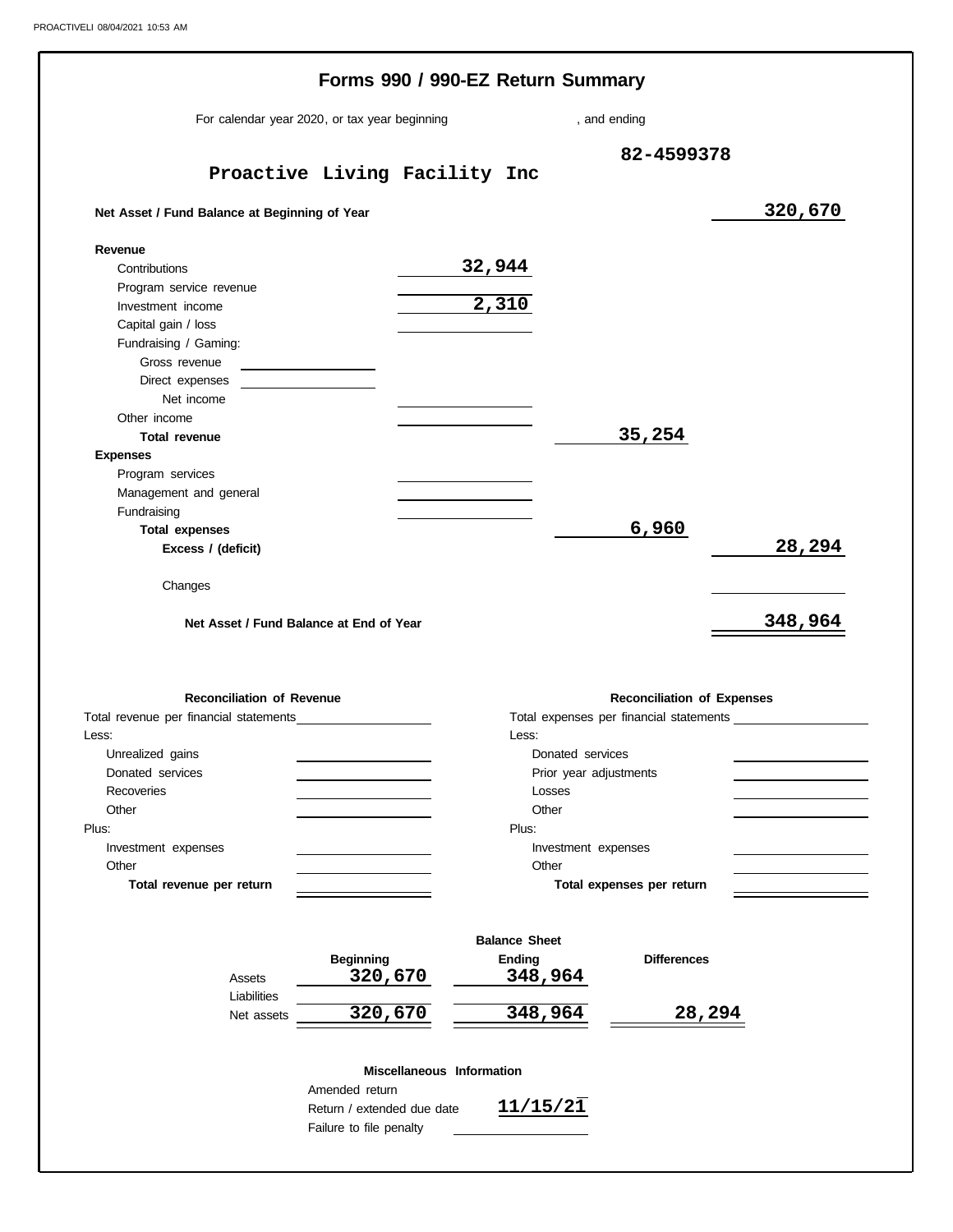| For calendar year 2020, or tax year beginning                                         |                                              |                           |                      | , and ending              |                                   |                                         |
|---------------------------------------------------------------------------------------|----------------------------------------------|---------------------------|----------------------|---------------------------|-----------------------------------|-----------------------------------------|
|                                                                                       |                                              |                           |                      |                           | 82-4599378                        |                                         |
|                                                                                       | Proactive Living Facility Inc                |                           |                      |                           |                                   |                                         |
| Net Asset / Fund Balance at Beginning of Year                                         |                                              |                           |                      |                           |                                   | 320,670                                 |
| Revenue                                                                               |                                              |                           |                      |                           |                                   |                                         |
| Contributions                                                                         |                                              |                           | 32,944               |                           |                                   |                                         |
| Program service revenue                                                               |                                              |                           | 2,310                |                           |                                   |                                         |
| Investment income<br>Capital gain / loss                                              |                                              |                           |                      |                           |                                   |                                         |
| Fundraising / Gaming:                                                                 |                                              |                           |                      |                           |                                   |                                         |
| Gross revenue                                                                         | the control of the control of the control of |                           |                      |                           |                                   |                                         |
| Direct expenses                                                                       |                                              |                           |                      |                           |                                   |                                         |
| Net income                                                                            |                                              |                           |                      |                           |                                   |                                         |
| Other income                                                                          |                                              |                           |                      |                           |                                   |                                         |
| <b>Total revenue</b>                                                                  |                                              |                           |                      | 35,254                    |                                   |                                         |
| <b>Expenses</b>                                                                       |                                              |                           |                      |                           |                                   |                                         |
| Program services<br>Management and general                                            |                                              |                           |                      |                           |                                   |                                         |
| Fundraising                                                                           |                                              |                           |                      |                           |                                   |                                         |
| <b>Total expenses</b>                                                                 |                                              |                           |                      |                           | 6,960                             |                                         |
| Excess / (deficit)                                                                    |                                              |                           |                      |                           |                                   | 28,294                                  |
| Changes<br>Net Asset / Fund Balance at End of Year                                    |                                              |                           |                      |                           |                                   | 348,964                                 |
|                                                                                       |                                              |                           |                      |                           |                                   |                                         |
| <b>Reconciliation of Revenue</b>                                                      |                                              |                           |                      |                           | <b>Reconciliation of Expenses</b> |                                         |
|                                                                                       |                                              |                           |                      |                           |                                   |                                         |
|                                                                                       |                                              |                           | Less:                |                           |                                   |                                         |
| Unrealized gains                                                                      |                                              |                           |                      | Donated services          |                                   |                                         |
| Donated services<br><b>Recoveries</b>                                                 |                                              |                           | Losses               | Prior year adjustments    |                                   |                                         |
| Other                                                                                 |                                              |                           | Other                |                           |                                   |                                         |
|                                                                                       |                                              |                           | Plus:                |                           |                                   |                                         |
| Investment expenses                                                                   |                                              |                           |                      | Investment expenses       |                                   |                                         |
| Other                                                                                 |                                              |                           | Other                |                           |                                   |                                         |
| Total revenue per return                                                              |                                              |                           |                      | Total expenses per return |                                   |                                         |
|                                                                                       |                                              |                           | <b>Balance Sheet</b> |                           |                                   |                                         |
| Assets                                                                                | <b>Beginning</b><br>320,670                  |                           | Ending<br>348,964    |                           | <b>Differences</b>                | Total expenses per financial statements |
| Total revenue per financial statements<br>Less:<br>Plus:<br>Liabilities<br>Net assets | 320,670                                      |                           | 348,964              |                           | 28,294                            |                                         |
|                                                                                       | Amended return                               | Miscellaneous Information | 11/15/21             |                           |                                   |                                         |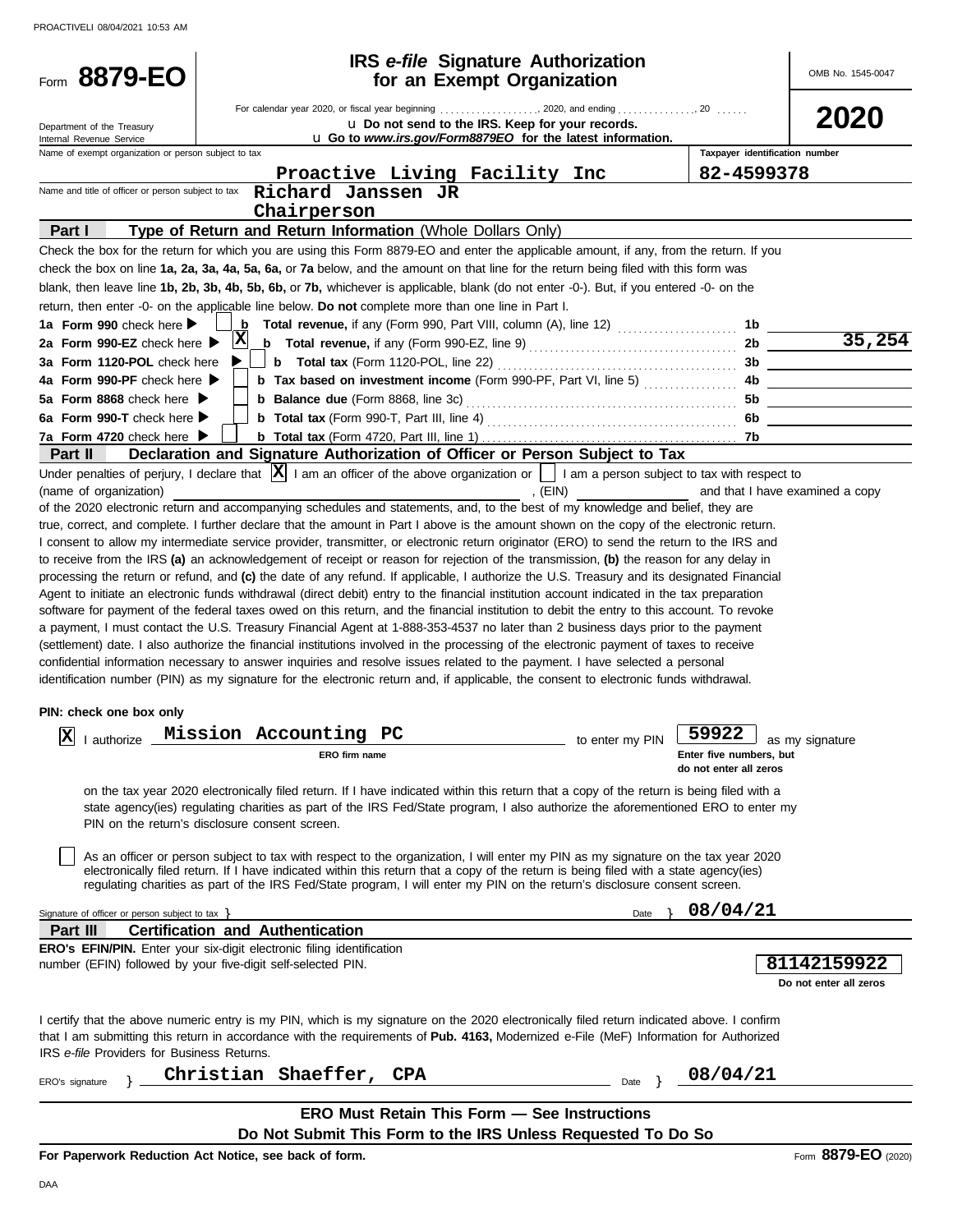| Form 8879-EO                                                                                                                                                                                                                                                                        |   |                                         | <b>IRS</b> e-file Signature Authorization                                                                                                |                 |                                | OMB No. 1545-0047                  |
|-------------------------------------------------------------------------------------------------------------------------------------------------------------------------------------------------------------------------------------------------------------------------------------|---|-----------------------------------------|------------------------------------------------------------------------------------------------------------------------------------------|-----------------|--------------------------------|------------------------------------|
|                                                                                                                                                                                                                                                                                     |   |                                         | for an Exempt Organization                                                                                                               |                 |                                |                                    |
|                                                                                                                                                                                                                                                                                     |   |                                         |                                                                                                                                          |                 |                                |                                    |
| Department of the Treasury                                                                                                                                                                                                                                                          |   |                                         | u Do not send to the IRS. Keep for your records.                                                                                         |                 |                                | 2020                               |
| Internal Revenue Service                                                                                                                                                                                                                                                            |   |                                         | u Go to www.irs.gov/Form8879EO for the latest information.                                                                               |                 | Taxpayer identification number |                                    |
| Name of exempt organization or person subject to tax                                                                                                                                                                                                                                |   |                                         |                                                                                                                                          |                 | 82-4599378                     |                                    |
| Name and title of officer or person subject to tax                                                                                                                                                                                                                                  |   | Richard Janssen JR                      | Proactive Living Facility Inc                                                                                                            |                 |                                |                                    |
|                                                                                                                                                                                                                                                                                     |   |                                         |                                                                                                                                          |                 |                                |                                    |
|                                                                                                                                                                                                                                                                                     |   | Chairperson                             |                                                                                                                                          |                 |                                |                                    |
| Part I                                                                                                                                                                                                                                                                              |   |                                         | Type of Return and Return Information (Whole Dollars Only)                                                                               |                 |                                |                                    |
| Check the box for the return for which you are using this Form 8879-EO and enter the applicable amount, if any, from the return. If you                                                                                                                                             |   |                                         |                                                                                                                                          |                 |                                |                                    |
| check the box on line 1a, 2a, 3a, 4a, 5a, 6a, or 7a below, and the amount on that line for the return being filed with this form was                                                                                                                                                |   |                                         |                                                                                                                                          |                 |                                |                                    |
| blank, then leave line 1b, 2b, 3b, 4b, 5b, 6b, or 7b, whichever is applicable, blank (do not enter -0-). But, if you entered -0- on the                                                                                                                                             |   |                                         |                                                                                                                                          |                 |                                |                                    |
| return, then enter -0- on the applicable line below. Do not complete more than one line in Part I.                                                                                                                                                                                  |   |                                         |                                                                                                                                          |                 |                                |                                    |
| 1a Form 990 check here $\blacktriangleright$                                                                                                                                                                                                                                        |   |                                         | <b>b</b> Total revenue, if any (Form 990, Part VIII, column (A), line 12) $\ldots$                                                       |                 | 1b                             | $\frac{1b}{2b}$ $\frac{35,254}{b}$ |
| 2a Form 990-EZ check here $\blacktriangleright$                                                                                                                                                                                                                                     | X |                                         | <b>b</b> Total revenue, if any (Form 990-EZ, line 9) $\ldots$ $\ldots$ $\ldots$ $\ldots$ $\ldots$ $\ldots$                               |                 |                                |                                    |
| 3a Form 1120-POL check here                                                                                                                                                                                                                                                         |   |                                         |                                                                                                                                          |                 |                                |                                    |
| 4a Form 990-PF check here                                                                                                                                                                                                                                                           |   |                                         | <b>b</b> Tax based on investment income (Form 990-PF, Part VI, line 5)                                                                   |                 |                                |                                    |
| 5a Form 8868 check here $\blacktriangleright$                                                                                                                                                                                                                                       |   |                                         |                                                                                                                                          |                 |                                |                                    |
| 6a Form 990-T check here $\blacktriangleright$                                                                                                                                                                                                                                      |   |                                         |                                                                                                                                          |                 |                                | 6b                                 |
| 7a Form 4720 check here $\blacktriangleright$                                                                                                                                                                                                                                       |   |                                         |                                                                                                                                          |                 |                                |                                    |
| <b>Part II</b>                                                                                                                                                                                                                                                                      |   |                                         | Declaration and Signature Authorization of Officer or Person Subject to Tax                                                              |                 |                                |                                    |
| Under penalties of perjury, I declare that $ \mathbf{X} $ I am an officer of the above organization or $\ \cdot\ $ I am a person subject to tax with respect to                                                                                                                     |   |                                         |                                                                                                                                          |                 |                                |                                    |
| (name of organization)                                                                                                                                                                                                                                                              |   |                                         |                                                                                                                                          | , (EIN)         |                                | and that I have examined a copy    |
| of the 2020 electronic return and accompanying schedules and statements, and, to the best of my knowledge and belief, they are                                                                                                                                                      |   |                                         |                                                                                                                                          |                 |                                |                                    |
| true, correct, and complete. I further declare that the amount in Part I above is the amount shown on the copy of the electronic return.                                                                                                                                            |   |                                         |                                                                                                                                          |                 |                                |                                    |
| I consent to allow my intermediate service provider, transmitter, or electronic return originator (ERO) to send the return to the IRS and                                                                                                                                           |   |                                         |                                                                                                                                          |                 |                                |                                    |
| to receive from the IRS (a) an acknowledgement of receipt or reason for rejection of the transmission, (b) the reason for any delay in                                                                                                                                              |   |                                         |                                                                                                                                          |                 |                                |                                    |
| processing the return or refund, and (c) the date of any refund. If applicable, I authorize the U.S. Treasury and its designated Financial                                                                                                                                          |   |                                         |                                                                                                                                          |                 |                                |                                    |
| Agent to initiate an electronic funds withdrawal (direct debit) entry to the financial institution account indicated in the tax preparation                                                                                                                                         |   |                                         |                                                                                                                                          |                 |                                |                                    |
| software for payment of the federal taxes owed on this return, and the financial institution to debit the entry to this account. To revoke                                                                                                                                          |   |                                         |                                                                                                                                          |                 |                                |                                    |
| a payment, I must contact the U.S. Treasury Financial Agent at 1-888-353-4537 no later than 2 business days prior to the payment                                                                                                                                                    |   |                                         |                                                                                                                                          |                 |                                |                                    |
| (settlement) date. I also authorize the financial institutions involved in the processing of the electronic payment of taxes to receive<br>confidential information necessary to answer inquiries and resolve issues related to the payment. I have selected a personal             |   |                                         |                                                                                                                                          |                 |                                |                                    |
| identification number (PIN) as my signature for the electronic return and, if applicable, the consent to electronic funds withdrawal.                                                                                                                                               |   |                                         |                                                                                                                                          |                 |                                |                                    |
|                                                                                                                                                                                                                                                                                     |   |                                         |                                                                                                                                          |                 |                                |                                    |
| PIN: check one box only                                                                                                                                                                                                                                                             |   |                                         |                                                                                                                                          |                 |                                |                                    |
| lvl                                                                                                                                                                                                                                                                                 |   | <sub>rize</sub> Mission Accounting PC   |                                                                                                                                          |                 | 59922 as my signature          |                                    |
| ▵<br>I authorize                                                                                                                                                                                                                                                                    |   | ERO firm name                           |                                                                                                                                          | to enter my PIN | Enter five numbers, but        |                                    |
|                                                                                                                                                                                                                                                                                     |   |                                         |                                                                                                                                          |                 | do not enter all zeros         |                                    |
|                                                                                                                                                                                                                                                                                     |   |                                         |                                                                                                                                          |                 |                                |                                    |
|                                                                                                                                                                                                                                                                                     |   |                                         | on the tax year 2020 electronically filed return. If I have indicated within this return that a copy of the return is being filed with a |                 |                                |                                    |
| PIN on the return's disclosure consent screen.                                                                                                                                                                                                                                      |   |                                         | state agency(ies) regulating charities as part of the IRS Fed/State program, I also authorize the aforementioned ERO to enter my         |                 |                                |                                    |
|                                                                                                                                                                                                                                                                                     |   |                                         |                                                                                                                                          |                 |                                |                                    |
|                                                                                                                                                                                                                                                                                     |   |                                         | As an officer or person subject to tax with respect to the organization, I will enter my PIN as my signature on the tax year 2020        |                 |                                |                                    |
|                                                                                                                                                                                                                                                                                     |   |                                         | electronically filed return. If I have indicated within this return that a copy of the return is being filed with a state agency(ies)    |                 |                                |                                    |
|                                                                                                                                                                                                                                                                                     |   |                                         | regulating charities as part of the IRS Fed/State program, I will enter my PIN on the return's disclosure consent screen.                |                 |                                |                                    |
| Signature of officer or person subject to tax $\}$                                                                                                                                                                                                                                  |   |                                         |                                                                                                                                          | Date            | 08/04/21                       |                                    |
| Part III                                                                                                                                                                                                                                                                            |   | <b>Certification and Authentication</b> |                                                                                                                                          |                 |                                |                                    |
| <b>ERO's EFIN/PIN.</b> Enter your six-digit electronic filing identification                                                                                                                                                                                                        |   |                                         |                                                                                                                                          |                 |                                |                                    |
| number (EFIN) followed by your five-digit self-selected PIN.                                                                                                                                                                                                                        |   |                                         |                                                                                                                                          |                 |                                | 81142159922                        |
|                                                                                                                                                                                                                                                                                     |   |                                         |                                                                                                                                          |                 |                                | Do not enter all zeros             |
|                                                                                                                                                                                                                                                                                     |   |                                         |                                                                                                                                          |                 |                                |                                    |
|                                                                                                                                                                                                                                                                                     |   |                                         |                                                                                                                                          |                 |                                |                                    |
| I certify that the above numeric entry is my PIN, which is my signature on the 2020 electronically filed return indicated above. I confirm<br>that I am submitting this return in accordance with the requirements of Pub. 4163, Modernized e-File (MeF) Information for Authorized |   |                                         |                                                                                                                                          |                 |                                |                                    |
| IRS e-file Providers for Business Returns.                                                                                                                                                                                                                                          |   |                                         |                                                                                                                                          |                 |                                |                                    |
|                                                                                                                                                                                                                                                                                     |   |                                         |                                                                                                                                          |                 |                                |                                    |
| ERO's signature                                                                                                                                                                                                                                                                     |   | Christian Shaeffer,                     | <b>CPA</b>                                                                                                                               | Date $\}$       | 08/04/21                       |                                    |
|                                                                                                                                                                                                                                                                                     |   |                                         |                                                                                                                                          |                 |                                |                                    |
|                                                                                                                                                                                                                                                                                     |   |                                         | <b>ERO Must Retain This Form - See Instructions</b>                                                                                      |                 |                                |                                    |
|                                                                                                                                                                                                                                                                                     |   |                                         | Do Not Submit This Form to the IRS Unless Requested To Do So                                                                             |                 |                                |                                    |
| For Paperwork Reduction Act Notice, see back of form.                                                                                                                                                                                                                               |   |                                         |                                                                                                                                          |                 |                                | Form 8879-EO (2020)                |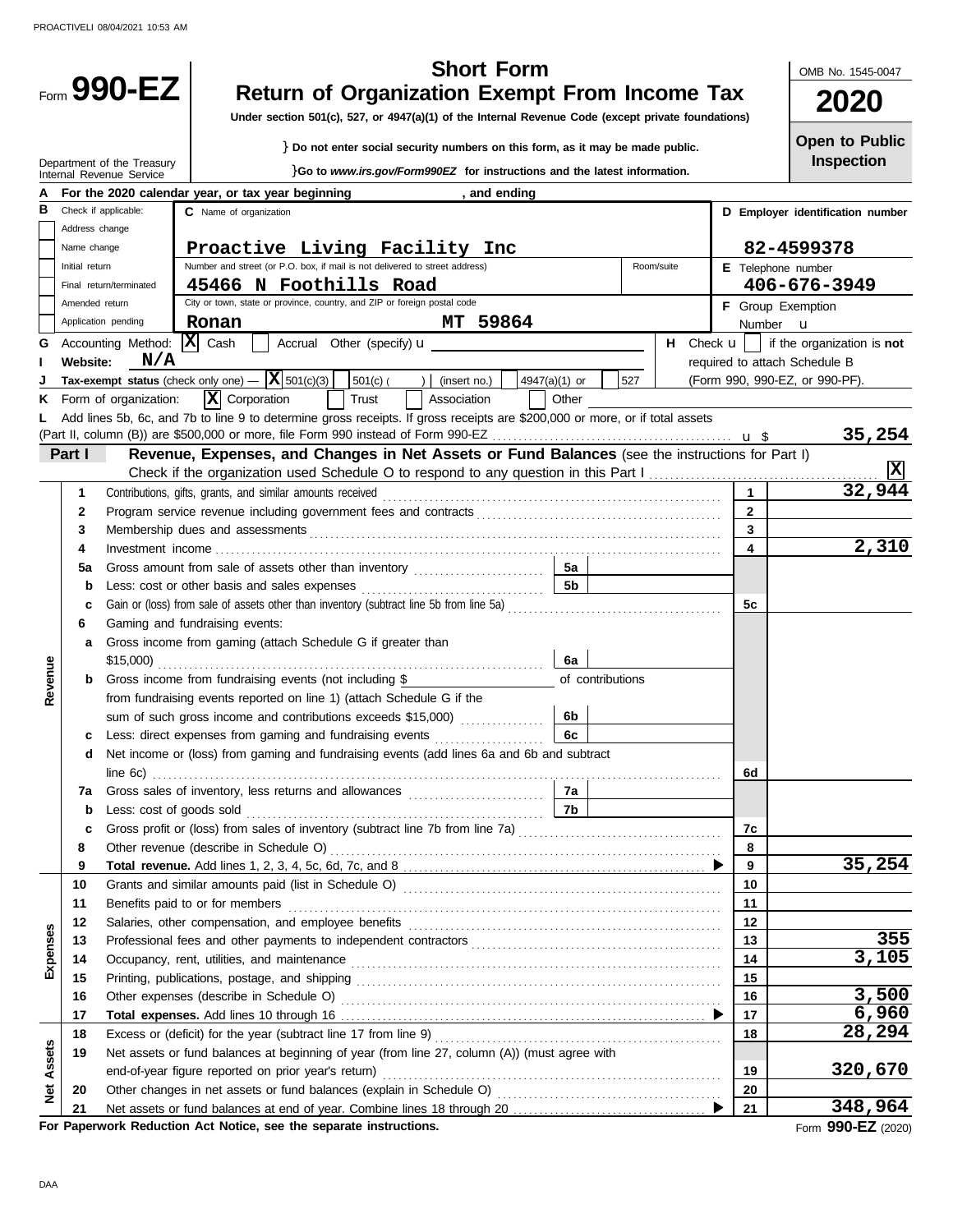|                   |                |                                                     | <b>Short Form</b>                                                                                                                                                                                                              |                         | OMB No. 1545-0047                |
|-------------------|----------------|-----------------------------------------------------|--------------------------------------------------------------------------------------------------------------------------------------------------------------------------------------------------------------------------------|-------------------------|----------------------------------|
|                   |                | Form 990-EZ                                         | <b>Return of Organization Exempt From Income Tax</b><br>Under section 501(c), 527, or 4947(a)(1) of the Internal Revenue Code (except private foundations)                                                                     |                         | 2020                             |
|                   |                |                                                     | } Do not enter social security numbers on this form, as it may be made public.                                                                                                                                                 |                         | <b>Open to Public</b>            |
|                   |                | Department of the Treasury                          |                                                                                                                                                                                                                                |                         | Inspection                       |
|                   |                | Internal Revenue Service                            | Go to www.irs.gov/Form990EZ for instructions and the latest information.                                                                                                                                                       |                         |                                  |
| в                 |                | Check if applicable:                                | For the 2020 calendar year, or tax year beginning<br>, and ending<br>C Name of organization                                                                                                                                    |                         | D Employer identification number |
|                   | Address change |                                                     |                                                                                                                                                                                                                                |                         |                                  |
|                   | Name change    |                                                     | Proactive Living Facility Inc                                                                                                                                                                                                  |                         | 82-4599378                       |
|                   | Initial return |                                                     | Number and street (or P.O. box, if mail is not delivered to street address)<br>Room/suite                                                                                                                                      | E Telephone number      |                                  |
|                   |                | Final return/terminated                             | 45466 N Foothills Road                                                                                                                                                                                                         |                         | 406-676-3949                     |
|                   | Amended return |                                                     | City or town, state or province, country, and ZIP or foreign postal code                                                                                                                                                       |                         | F Group Exemption                |
|                   |                | Application pending                                 | MT 59864<br>Ronan                                                                                                                                                                                                              | Number <b>u</b>         |                                  |
| G                 |                | Accounting Method:                                  | x <br>Cash<br>Accrual Other (specify) <b>u</b><br><b>H</b> Check $\mathbf{u}$                                                                                                                                                  |                         | if the organization is not       |
|                   | Website:       | N/A                                                 |                                                                                                                                                                                                                                |                         | required to attach Schedule B    |
|                   |                |                                                     | Tax-exempt status (check only one) $ \overline{X}$ 501(c)(3)<br>527<br>501(c)(<br>) $ $ (insert no.)<br>4947(a)(1) or                                                                                                          |                         | (Form 990, 990-EZ, or 990-PF).   |
| ĸ                 |                | Form of organization:                               | $\mathbf{X}$ Corporation<br>Trust<br>Association<br>Other                                                                                                                                                                      |                         |                                  |
|                   |                |                                                     | Add lines 5b, 6c, and 7b to line 9 to determine gross receipts. If gross receipts are \$200,000 or more, or if total assets                                                                                                    |                         |                                  |
|                   |                |                                                     |                                                                                                                                                                                                                                |                         | 35,254                           |
|                   | Part I         |                                                     | Revenue, Expenses, and Changes in Net Assets or Fund Balances (see the instructions for Part I)                                                                                                                                |                         | ΙX                               |
|                   | 1              |                                                     | Contributions, gifts, grants, and similar amounts received                                                                                                                                                                     | $\mathbf{1}$            | 32,944                           |
|                   | 2              |                                                     |                                                                                                                                                                                                                                | $\overline{2}$          |                                  |
|                   | 3              |                                                     | Membership dues and assessments                                                                                                                                                                                                | $\overline{\mathbf{3}}$ |                                  |
|                   | 4              |                                                     |                                                                                                                                                                                                                                | 4                       | 2,310                            |
|                   | 5а             |                                                     | Gross amount from sale of assets other than inventory<br>5а                                                                                                                                                                    |                         |                                  |
|                   | b              |                                                     |                                                                                                                                                                                                                                |                         |                                  |
|                   | c              |                                                     |                                                                                                                                                                                                                                | 5c                      |                                  |
|                   | 6              |                                                     | Gaming and fundraising events:                                                                                                                                                                                                 |                         |                                  |
|                   | a              |                                                     | Gross income from gaming (attach Schedule G if greater than                                                                                                                                                                    |                         |                                  |
|                   |                | \$15,000)                                           | 6a                                                                                                                                                                                                                             |                         |                                  |
| Revenue           | b              |                                                     | of contributions<br>Gross income from fundraising events (not including \$                                                                                                                                                     |                         |                                  |
|                   |                |                                                     | from fundraising events reported on line 1) (attach Schedule G if the                                                                                                                                                          |                         |                                  |
|                   |                |                                                     | sum of such gross income and contributions exceeds \$15,000)<br>6b<br>.                                                                                                                                                        |                         |                                  |
|                   | c              |                                                     | Less: direct expenses from gaming and fundraising events<br>6с                                                                                                                                                                 |                         |                                  |
|                   |                |                                                     | d Net income or (loss) from gaming and fundraising events (add lines 6a and 6b and subtract                                                                                                                                    |                         |                                  |
|                   |                |                                                     |                                                                                                                                                                                                                                | 6d                      |                                  |
|                   | 7a<br>b        | Less: cost of goods sold                            | 7a<br>7b                                                                                                                                                                                                                       |                         |                                  |
|                   | c              |                                                     |                                                                                                                                                                                                                                | 7с                      |                                  |
|                   | 8              |                                                     |                                                                                                                                                                                                                                | 8                       |                                  |
|                   | 9              |                                                     |                                                                                                                                                                                                                                | 9                       | 35,254                           |
|                   | 10             |                                                     |                                                                                                                                                                                                                                | 10                      |                                  |
|                   | 11             |                                                     | Benefits paid to or for members                                                                                                                                                                                                | 11                      |                                  |
|                   | 12             |                                                     | Salaries, other compensation, and employee benefits [11] match contains a series of the compensation, and employee benefits [11] match contains a series of the containing state of the state of the state of the state of the | 12                      |                                  |
|                   | 13             |                                                     |                                                                                                                                                                                                                                | 13                      | 355                              |
| Expenses          | 14             |                                                     |                                                                                                                                                                                                                                | 14                      | 3,105                            |
|                   | 15             |                                                     |                                                                                                                                                                                                                                | 15                      |                                  |
|                   | 16             |                                                     |                                                                                                                                                                                                                                | 16                      | 3,500                            |
|                   | 17             |                                                     |                                                                                                                                                                                                                                | 17                      | 6,960                            |
|                   | 18             |                                                     |                                                                                                                                                                                                                                | 18                      | 28,294                           |
|                   | 19             |                                                     | Net assets or fund balances at beginning of year (from line 27, column (A)) (must agree with                                                                                                                                   |                         |                                  |
| <b>Net Assets</b> |                | end-of-year figure reported on prior year's return) | 19                                                                                                                                                                                                                             | 320,670                 |                                  |
|                   | 20             |                                                     |                                                                                                                                                                                                                                | 20                      |                                  |
|                   | 21             |                                                     |                                                                                                                                                                                                                                | 21                      | 348,964                          |

**For Paperwork Reduction Act Notice, see the separate instructions.**

Form **990-EZ** (2020)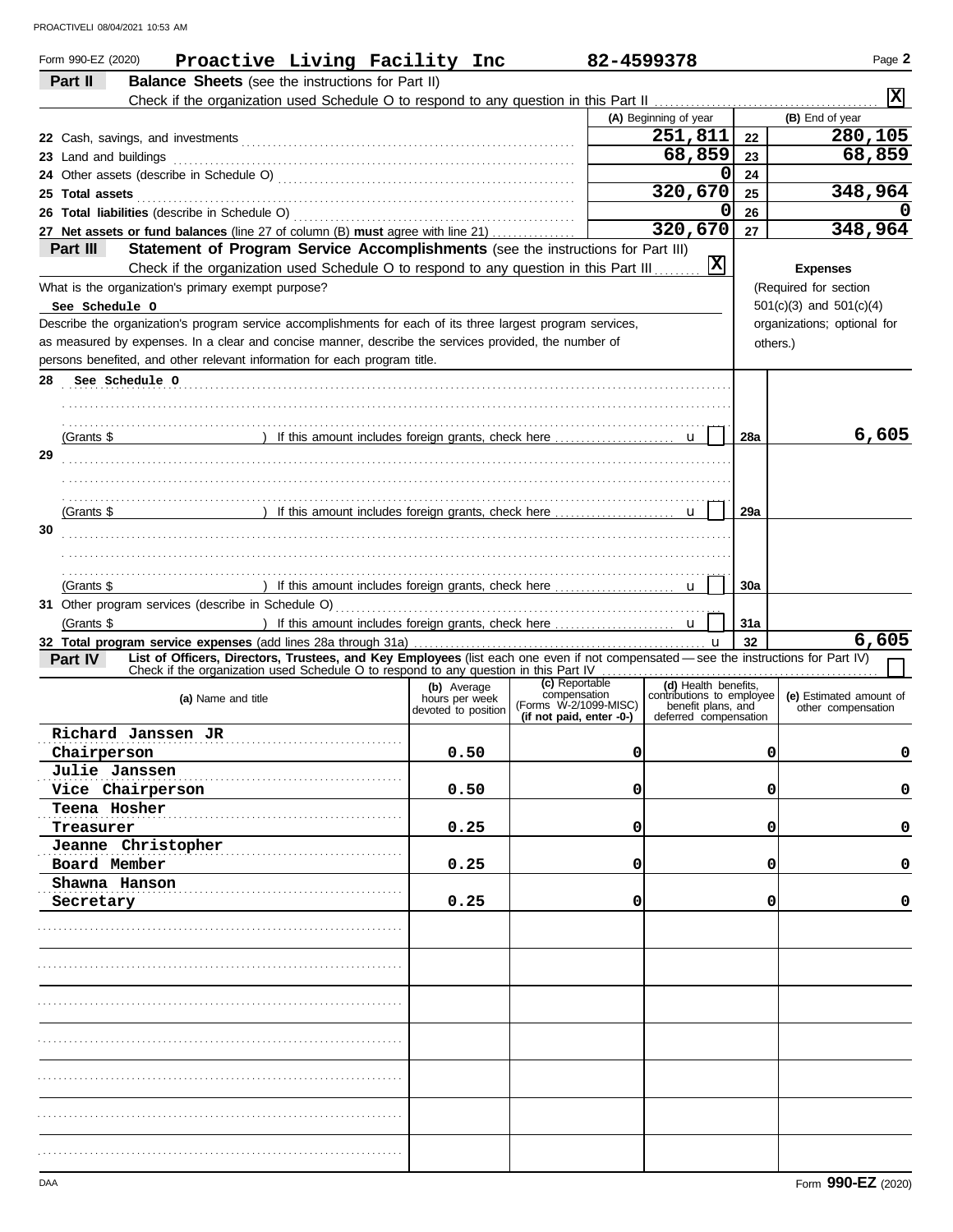| Form 990-EZ (2020)<br>Proactive Living Facility Inc                                                                                                                                    |                               | 82-4599378                            |                                                   |            | Page 2                      |
|----------------------------------------------------------------------------------------------------------------------------------------------------------------------------------------|-------------------------------|---------------------------------------|---------------------------------------------------|------------|-----------------------------|
| <b>Balance Sheets</b> (see the instructions for Part II)<br>Part II                                                                                                                    |                               |                                       |                                                   |            | IXI                         |
|                                                                                                                                                                                        |                               |                                       |                                                   |            |                             |
|                                                                                                                                                                                        |                               |                                       | (A) Beginning of year                             |            | (B) End of year             |
|                                                                                                                                                                                        |                               |                                       | 251,811                                           | 22         | 280,105                     |
| 23 Land and buildings                                                                                                                                                                  |                               |                                       | 68,859                                            | 23         | 68,859                      |
|                                                                                                                                                                                        |                               |                                       | 0                                                 | 24         |                             |
| 25 Total assets                                                                                                                                                                        |                               |                                       | 320,670                                           | 25         | 348,964                     |
| 26 Total liabilities (describe in Schedule O)                                                                                                                                          |                               |                                       | 0                                                 | 26         |                             |
| 27 Net assets or fund balances (line 27 of column (B) must agree with line 21)                                                                                                         |                               |                                       | 320,670                                           | 27         | 348,964                     |
| Part III<br>Statement of Program Service Accomplishments (see the instructions for Part III)<br>Check if the organization used Schedule O to respond to any question in this Part III. |                               |                                       | $ \mathbf{x} $                                    |            | <b>Expenses</b>             |
| What is the organization's primary exempt purpose?                                                                                                                                     |                               |                                       |                                                   |            | (Required for section       |
| See Schedule O                                                                                                                                                                         |                               |                                       |                                                   |            | $501(c)(3)$ and $501(c)(4)$ |
| Describe the organization's program service accomplishments for each of its three largest program services,                                                                            |                               |                                       |                                                   |            | organizations; optional for |
| as measured by expenses. In a clear and concise manner, describe the services provided, the number of                                                                                  |                               |                                       |                                                   | others.)   |                             |
| persons benefited, and other relevant information for each program title.                                                                                                              |                               |                                       |                                                   |            |                             |
| See Schedule O<br>28                                                                                                                                                                   |                               |                                       |                                                   |            |                             |
|                                                                                                                                                                                        |                               |                                       |                                                   |            |                             |
|                                                                                                                                                                                        |                               |                                       |                                                   |            |                             |
| (Grants \$                                                                                                                                                                             |                               |                                       |                                                   | <b>28a</b> | 6,605                       |
|                                                                                                                                                                                        |                               |                                       |                                                   |            |                             |
| 29                                                                                                                                                                                     |                               |                                       |                                                   |            |                             |
|                                                                                                                                                                                        |                               |                                       |                                                   |            |                             |
|                                                                                                                                                                                        |                               |                                       |                                                   |            |                             |
| (Grants \$                                                                                                                                                                             |                               |                                       |                                                   | 29a        |                             |
| 30                                                                                                                                                                                     |                               |                                       |                                                   |            |                             |
|                                                                                                                                                                                        |                               |                                       |                                                   |            |                             |
|                                                                                                                                                                                        |                               |                                       |                                                   |            |                             |
| (Grants \$                                                                                                                                                                             |                               |                                       |                                                   | 30a        |                             |
|                                                                                                                                                                                        |                               |                                       |                                                   |            |                             |
| (Grants \$                                                                                                                                                                             |                               |                                       |                                                   | 31a        |                             |
|                                                                                                                                                                                        |                               |                                       | $\mathbf u$                                       | 32         | 6,605                       |
| List of Officers, Directors, Trustees, and Key Employees (list each one even if not compensated - see the instructions for Part IV)<br>Part IV                                         |                               |                                       |                                                   |            |                             |
| Check if the organization used Schedule O to respond to any question in this Part IV                                                                                                   |                               | (c) Reportable                        |                                                   |            |                             |
| (a) Name and title                                                                                                                                                                     | (b) Average<br>hours per week | compensation<br>(Forms W-2/1099-MISC) | (d) Health benefits,<br>contributions to employee |            | (e) Estimated amount of     |
|                                                                                                                                                                                        | devoted to position           | (if not paid, enter -0-)              | benefit plans, and<br>deferred compensation       |            | other compensation          |
| Richard Janssen JR                                                                                                                                                                     |                               |                                       |                                                   |            |                             |
| Chairperson                                                                                                                                                                            | 0.50                          | 0                                     |                                                   | 0          | 0                           |
|                                                                                                                                                                                        |                               |                                       |                                                   |            |                             |
| Julie Janssen                                                                                                                                                                          |                               |                                       |                                                   |            |                             |
| Vice Chairperson                                                                                                                                                                       | 0.50                          | 0                                     |                                                   | 0          | 0                           |
| Teena Hosher                                                                                                                                                                           |                               |                                       |                                                   |            |                             |
| Treasurer                                                                                                                                                                              | 0.25                          | 0                                     |                                                   | 0          | 0                           |
| Jeanne Christopher                                                                                                                                                                     |                               |                                       |                                                   |            |                             |
| Board Member                                                                                                                                                                           | 0.25                          | 0                                     |                                                   | 0          | 0                           |
| Shawna Hanson                                                                                                                                                                          |                               |                                       |                                                   |            |                             |
| Secretary                                                                                                                                                                              | 0.25                          | 0                                     |                                                   | 0          | 0                           |
|                                                                                                                                                                                        |                               |                                       |                                                   |            |                             |
|                                                                                                                                                                                        |                               |                                       |                                                   |            |                             |
|                                                                                                                                                                                        |                               |                                       |                                                   |            |                             |
|                                                                                                                                                                                        |                               |                                       |                                                   |            |                             |
|                                                                                                                                                                                        |                               |                                       |                                                   |            |                             |
|                                                                                                                                                                                        |                               |                                       |                                                   |            |                             |
|                                                                                                                                                                                        |                               |                                       |                                                   |            |                             |
|                                                                                                                                                                                        |                               |                                       |                                                   |            |                             |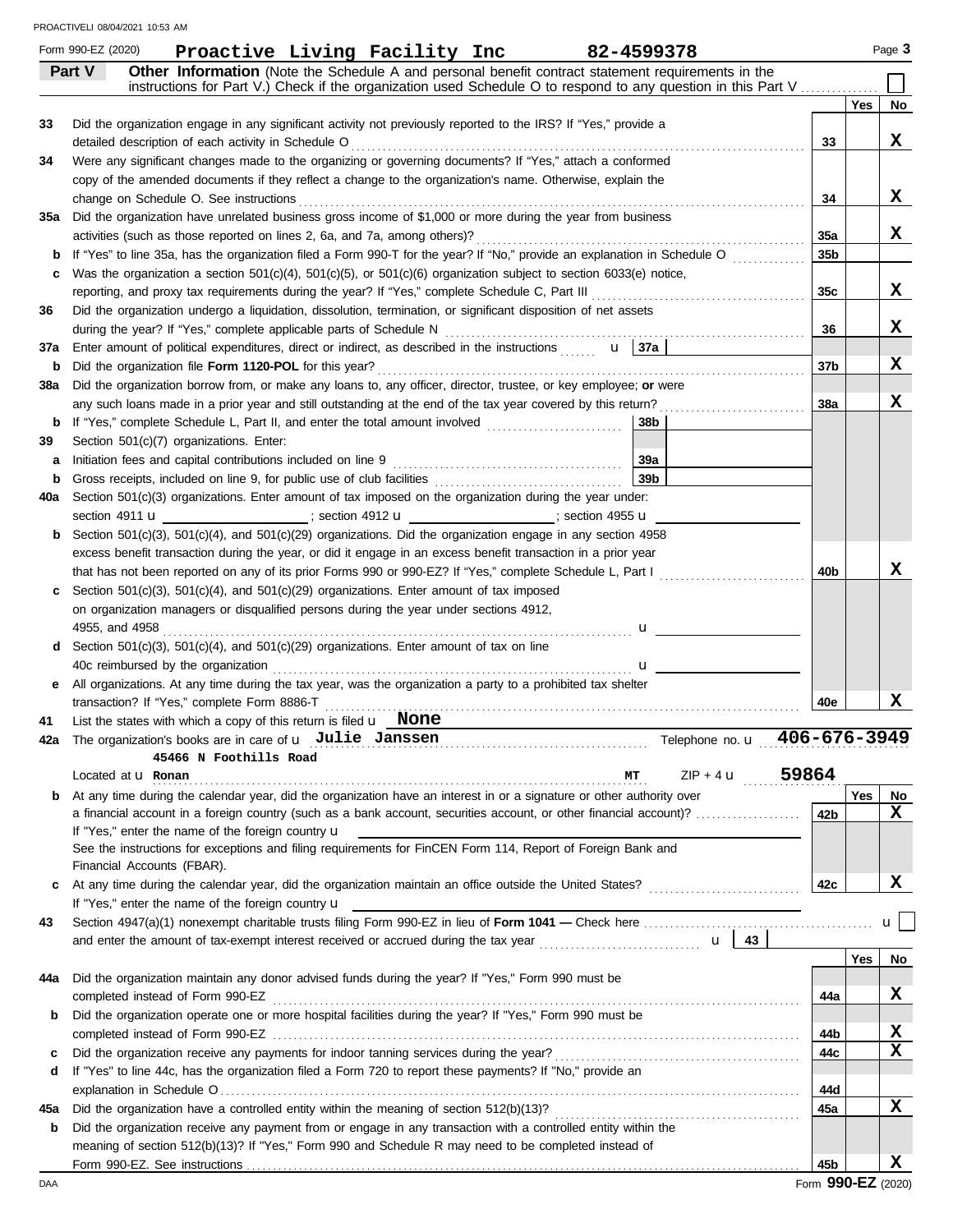|     | Form 990-EZ (2020)        | Proactive Living Facility Inc                                                                                                                                                            |  |   | 82-4599378                                                                                                                                                                                                          |                 |     | Page 3 |
|-----|---------------------------|------------------------------------------------------------------------------------------------------------------------------------------------------------------------------------------|--|---|---------------------------------------------------------------------------------------------------------------------------------------------------------------------------------------------------------------------|-----------------|-----|--------|
|     | Part V                    |                                                                                                                                                                                          |  |   | Other Information (Note the Schedule A and personal benefit contract statement requirements in the<br>instructions for Part V.) Check if the organization used Schedule O to respond to any question in this Part V |                 |     |        |
|     |                           |                                                                                                                                                                                          |  |   |                                                                                                                                                                                                                     |                 | Yes | No     |
| 33  |                           | Did the organization engage in any significant activity not previously reported to the IRS? If "Yes," provide a                                                                          |  |   |                                                                                                                                                                                                                     |                 |     |        |
|     |                           | detailed description of each activity in Schedule O                                                                                                                                      |  |   |                                                                                                                                                                                                                     | 33              |     | X      |
| 34  |                           | Were any significant changes made to the organizing or governing documents? If "Yes," attach a conformed                                                                                 |  |   |                                                                                                                                                                                                                     |                 |     |        |
|     |                           | copy of the amended documents if they reflect a change to the organization's name. Otherwise, explain the                                                                                |  |   |                                                                                                                                                                                                                     |                 |     |        |
|     |                           | change on Schedule O. See instructions                                                                                                                                                   |  |   |                                                                                                                                                                                                                     | 34              |     | X      |
| 35а |                           | Did the organization have unrelated business gross income of \$1,000 or more during the year from business<br>activities (such as those reported on lines 2, 6a, and 7a, among others)?  |  |   |                                                                                                                                                                                                                     | 35a             |     | X      |
| b   |                           | If "Yes" to line 35a, has the organization filed a Form 990-T for the year? If "No," provide an explanation in Schedule O                                                                |  |   |                                                                                                                                                                                                                     | 35 <sub>b</sub> |     |        |
| c   |                           | Was the organization a section $501(c)(4)$ , $501(c)(5)$ , or $501(c)(6)$ organization subject to section $6033(e)$ notice,                                                              |  |   |                                                                                                                                                                                                                     |                 |     |        |
|     |                           | reporting, and proxy tax requirements during the year? If "Yes," complete Schedule C, Part III                                                                                           |  |   |                                                                                                                                                                                                                     | 35c             |     | x      |
| 36  |                           | Did the organization undergo a liquidation, dissolution, termination, or significant disposition of net assets                                                                           |  |   |                                                                                                                                                                                                                     |                 |     |        |
|     |                           | during the year? If "Yes," complete applicable parts of Schedule N                                                                                                                       |  |   |                                                                                                                                                                                                                     | 36              |     | X      |
| 37a |                           | Enter amount of political expenditures, direct or indirect, as described in the instructions $\mathbf{u}$   37a                                                                          |  |   |                                                                                                                                                                                                                     |                 |     |        |
| b   |                           | Did the organization file Form 1120-POL for this year?                                                                                                                                   |  |   |                                                                                                                                                                                                                     | 37b             |     | X      |
| 38a |                           | Did the organization borrow from, or make any loans to, any officer, director, trustee, or key employee; or were                                                                         |  |   |                                                                                                                                                                                                                     |                 |     |        |
|     |                           | any such loans made in a prior year and still outstanding at the end of the tax year covered by this return?                                                                             |  |   |                                                                                                                                                                                                                     | <b>38a</b>      |     | x      |
| b   |                           | If "Yes," complete Schedule L, Part II, and enter the total amount involved                                                                                                              |  |   | 38b                                                                                                                                                                                                                 |                 |     |        |
| 39  |                           | Section 501(c)(7) organizations. Enter:                                                                                                                                                  |  |   |                                                                                                                                                                                                                     |                 |     |        |
| a   |                           | Initiation fees and capital contributions included on line 9                                                                                                                             |  |   | 39a                                                                                                                                                                                                                 |                 |     |        |
| b   |                           | Gross receipts, included on line 9, for public use of club facilities                                                                                                                    |  |   | 39 <sub>b</sub>                                                                                                                                                                                                     |                 |     |        |
| 40a |                           | Section 501(c)(3) organizations. Enter amount of tax imposed on the organization during the year under:                                                                                  |  |   |                                                                                                                                                                                                                     |                 |     |        |
|     |                           | section 4911 <b>u</b> __________________; section 4912 <b>u</b> __________________; section 4955 <b>u</b>                                                                                |  |   |                                                                                                                                                                                                                     |                 |     |        |
| b   |                           | Section 501(c)(3), 501(c)(4), and 501(c)(29) organizations. Did the organization engage in any section 4958                                                                              |  |   |                                                                                                                                                                                                                     |                 |     |        |
|     |                           | excess benefit transaction during the year, or did it engage in an excess benefit transaction in a prior year                                                                            |  |   |                                                                                                                                                                                                                     |                 |     |        |
|     |                           | that has not been reported on any of its prior Forms 990 or 990-EZ? If "Yes," complete Schedule L, Part I                                                                                |  |   |                                                                                                                                                                                                                     | 40 <sub>b</sub> |     | х      |
| c   |                           | Section $501(c)(3)$ , $501(c)(4)$ , and $501(c)(29)$ organizations. Enter amount of tax imposed<br>on organization managers or disqualified persons during the year under sections 4912, |  |   |                                                                                                                                                                                                                     |                 |     |        |
|     | 4955, and 4958            |                                                                                                                                                                                          |  |   | $\mathbf{u}$                                                                                                                                                                                                        |                 |     |        |
|     |                           | <b>d</b> Section 501(c)(3), 501(c)(4), and 501(c)(29) organizations. Enter amount of tax on line                                                                                         |  | . |                                                                                                                                                                                                                     |                 |     |        |
|     |                           | 40c reimbursed by the organization                                                                                                                                                       |  |   | $\mathbf{u}$                                                                                                                                                                                                        |                 |     |        |
| е   |                           | All organizations. At any time during the tax year, was the organization a party to a prohibited tax shelter                                                                             |  |   |                                                                                                                                                                                                                     |                 |     |        |
|     |                           | transaction? If "Yes," complete Form 8886-T                                                                                                                                              |  |   |                                                                                                                                                                                                                     | 40e             |     | x      |
| 41  |                           | List the states with which a copy of this return is filed $\mathbf{u}$ None                                                                                                              |  |   |                                                                                                                                                                                                                     |                 |     |        |
|     |                           | The organization's books are in care of $\mathbf u$ Julie Janssen                                                                                                                        |  |   | Telephone no. u                                                                                                                                                                                                     | 406-676-3949    |     |        |
|     |                           | 45466 N Foothills Road                                                                                                                                                                   |  |   |                                                                                                                                                                                                                     |                 |     |        |
|     | Located at <b>u</b> Ronan |                                                                                                                                                                                          |  |   | $ZIP + 4$ <b>u</b><br>МT                                                                                                                                                                                            | 59864           |     |        |
| b   |                           | At any time during the calendar year, did the organization have an interest in or a signature or other authority over                                                                    |  |   |                                                                                                                                                                                                                     |                 | Yes | No     |
|     |                           |                                                                                                                                                                                          |  |   | a financial account in a foreign country (such as a bank account, securities account, or other financial account)?                                                                                                  | 42 <sub>b</sub> |     | X      |
|     |                           | If "Yes," enter the name of the foreign country $\mathbf u$                                                                                                                              |  |   |                                                                                                                                                                                                                     |                 |     |        |
|     |                           | See the instructions for exceptions and filing requirements for FinCEN Form 114, Report of Foreign Bank and<br>Financial Accounts (FBAR).                                                |  |   |                                                                                                                                                                                                                     |                 |     |        |
| c   |                           |                                                                                                                                                                                          |  |   |                                                                                                                                                                                                                     | 42c             |     | X      |
|     |                           | If "Yes," enter the name of the foreign country <b>u</b>                                                                                                                                 |  |   |                                                                                                                                                                                                                     |                 |     |        |
| 43  |                           |                                                                                                                                                                                          |  |   |                                                                                                                                                                                                                     |                 |     | u l    |
|     |                           |                                                                                                                                                                                          |  |   |                                                                                                                                                                                                                     |                 |     |        |
|     |                           |                                                                                                                                                                                          |  |   |                                                                                                                                                                                                                     |                 | Yes | No     |
| 44a |                           | Did the organization maintain any donor advised funds during the year? If "Yes," Form 990 must be                                                                                        |  |   |                                                                                                                                                                                                                     |                 |     |        |
|     |                           |                                                                                                                                                                                          |  |   |                                                                                                                                                                                                                     | 44a             |     | X      |
| b   |                           | Did the organization operate one or more hospital facilities during the year? If "Yes," Form 990 must be                                                                                 |  |   |                                                                                                                                                                                                                     |                 |     |        |
|     |                           |                                                                                                                                                                                          |  |   |                                                                                                                                                                                                                     | 44b             |     | X      |
| c   |                           |                                                                                                                                                                                          |  |   |                                                                                                                                                                                                                     | 44c             |     | х      |
| d   |                           | If "Yes" to line 44c, has the organization filed a Form 720 to report these payments? If "No," provide an                                                                                |  |   |                                                                                                                                                                                                                     |                 |     |        |
|     |                           |                                                                                                                                                                                          |  |   |                                                                                                                                                                                                                     | 44d             |     |        |
| 45а |                           | Did the organization have a controlled entity within the meaning of section 512(b)(13)?                                                                                                  |  |   |                                                                                                                                                                                                                     | 45а             |     | x      |
| b   |                           | Did the organization receive any payment from or engage in any transaction with a controlled entity within the                                                                           |  |   |                                                                                                                                                                                                                     |                 |     |        |
|     |                           | meaning of section 512(b)(13)? If "Yes," Form 990 and Schedule R may need to be completed instead of                                                                                     |  |   |                                                                                                                                                                                                                     |                 |     |        |
|     |                           |                                                                                                                                                                                          |  |   |                                                                                                                                                                                                                     | 45b             |     | x      |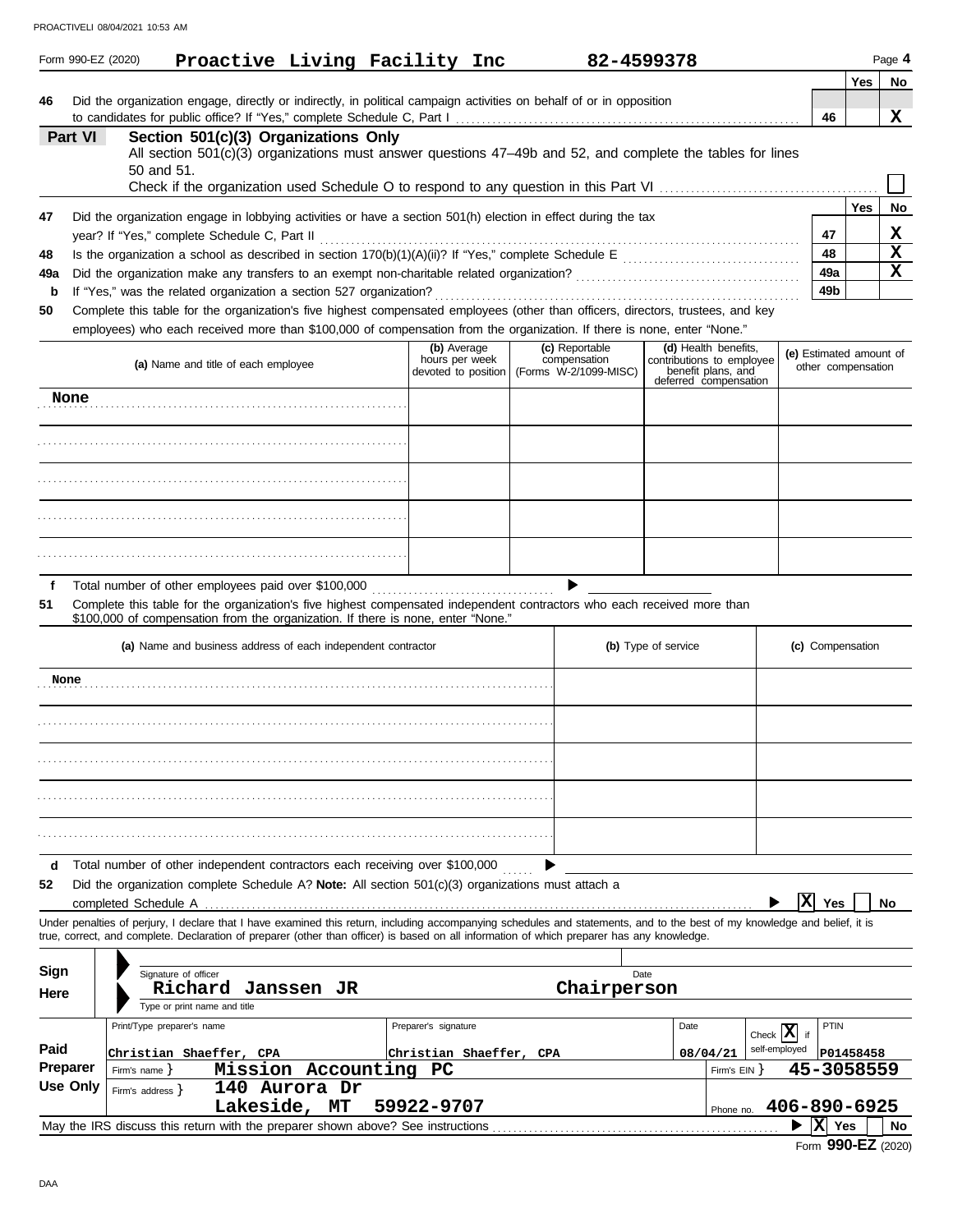|                 |                                                                                                                           | Proactive Living Facility Inc<br>Form 990-EZ (2020)                                                                                                                                                                                                                                                                      |                                                      |  | 82-4599378                                              |                     |                                                                         |                                          |             |                         | Page 4    |
|-----------------|---------------------------------------------------------------------------------------------------------------------------|--------------------------------------------------------------------------------------------------------------------------------------------------------------------------------------------------------------------------------------------------------------------------------------------------------------------------|------------------------------------------------------|--|---------------------------------------------------------|---------------------|-------------------------------------------------------------------------|------------------------------------------|-------------|-------------------------|-----------|
|                 |                                                                                                                           |                                                                                                                                                                                                                                                                                                                          |                                                      |  |                                                         |                     |                                                                         |                                          |             | Yes                     | No        |
| 46              |                                                                                                                           | Did the organization engage, directly or indirectly, in political campaign activities on behalf of or in opposition                                                                                                                                                                                                      |                                                      |  |                                                         |                     |                                                                         |                                          | 46          |                         | x         |
|                 | Part VI                                                                                                                   | Section 501(c)(3) Organizations Only                                                                                                                                                                                                                                                                                     |                                                      |  |                                                         |                     |                                                                         |                                          |             |                         |           |
|                 |                                                                                                                           | All section 501(c)(3) organizations must answer questions 47-49b and 52, and complete the tables for lines                                                                                                                                                                                                               |                                                      |  |                                                         |                     |                                                                         |                                          |             |                         |           |
|                 |                                                                                                                           | 50 and 51.                                                                                                                                                                                                                                                                                                               |                                                      |  |                                                         |                     |                                                                         |                                          |             |                         |           |
|                 |                                                                                                                           |                                                                                                                                                                                                                                                                                                                          |                                                      |  |                                                         |                     |                                                                         |                                          |             |                         |           |
| 47              |                                                                                                                           | Did the organization engage in lobbying activities or have a section 501(h) election in effect during the tax                                                                                                                                                                                                            |                                                      |  |                                                         |                     |                                                                         |                                          |             | Yes                     | No        |
| 48              |                                                                                                                           | year? If "Yes," complete Schedule C, Part II                                                                                                                                                                                                                                                                             |                                                      |  |                                                         |                     |                                                                         |                                          | 47<br>48    |                         | x<br>X    |
| 49a             |                                                                                                                           |                                                                                                                                                                                                                                                                                                                          |                                                      |  |                                                         |                     |                                                                         |                                          | 49a         |                         | X         |
| b               |                                                                                                                           | If "Yes," was the related organization a section 527 organization?                                                                                                                                                                                                                                                       |                                                      |  |                                                         |                     |                                                                         |                                          | 49b         |                         |           |
| 50              |                                                                                                                           | Complete this table for the organization's five highest compensated employees (other than officers, directors, trustees, and key                                                                                                                                                                                         |                                                      |  |                                                         |                     |                                                                         |                                          |             |                         |           |
|                 |                                                                                                                           | employees) who each received more than \$100,000 of compensation from the organization. If there is none, enter "None."                                                                                                                                                                                                  |                                                      |  |                                                         |                     |                                                                         |                                          |             |                         |           |
|                 |                                                                                                                           | (a) Name and title of each employee                                                                                                                                                                                                                                                                                      | (b) Average<br>hours per week<br>devoted to position |  | (c) Reportable<br>compensation<br>(Forms W-2/1099-MISC) |                     | (d) Health benefits,<br>contributions to employee<br>benefit plans, and | (e) Estimated amount of                  |             | other compensation      |           |
| None            |                                                                                                                           |                                                                                                                                                                                                                                                                                                                          |                                                      |  |                                                         |                     | deferred compensation                                                   |                                          |             |                         |           |
|                 |                                                                                                                           |                                                                                                                                                                                                                                                                                                                          |                                                      |  |                                                         |                     |                                                                         |                                          |             |                         |           |
|                 |                                                                                                                           |                                                                                                                                                                                                                                                                                                                          |                                                      |  |                                                         |                     |                                                                         |                                          |             |                         |           |
|                 |                                                                                                                           |                                                                                                                                                                                                                                                                                                                          |                                                      |  |                                                         |                     |                                                                         |                                          |             |                         |           |
|                 |                                                                                                                           |                                                                                                                                                                                                                                                                                                                          |                                                      |  |                                                         |                     |                                                                         |                                          |             |                         |           |
|                 |                                                                                                                           |                                                                                                                                                                                                                                                                                                                          |                                                      |  |                                                         |                     |                                                                         |                                          |             |                         |           |
| f               |                                                                                                                           | Total number of other employees paid over \$100,000                                                                                                                                                                                                                                                                      |                                                      |  |                                                         |                     |                                                                         |                                          |             |                         |           |
| 51              |                                                                                                                           | Complete this table for the organization's five highest compensated independent contractors who each received more than<br>\$100,000 of compensation from the organization. If there is none, enter "None."                                                                                                              |                                                      |  |                                                         |                     |                                                                         |                                          |             |                         |           |
|                 |                                                                                                                           | (a) Name and business address of each independent contractor                                                                                                                                                                                                                                                             |                                                      |  |                                                         | (b) Type of service |                                                                         |                                          |             | (c) Compensation        |           |
| None            |                                                                                                                           |                                                                                                                                                                                                                                                                                                                          |                                                      |  |                                                         |                     |                                                                         |                                          |             |                         |           |
|                 |                                                                                                                           |                                                                                                                                                                                                                                                                                                                          |                                                      |  |                                                         |                     |                                                                         |                                          |             |                         |           |
|                 |                                                                                                                           |                                                                                                                                                                                                                                                                                                                          |                                                      |  |                                                         |                     |                                                                         |                                          |             |                         |           |
|                 |                                                                                                                           |                                                                                                                                                                                                                                                                                                                          |                                                      |  |                                                         |                     |                                                                         |                                          |             |                         |           |
|                 |                                                                                                                           |                                                                                                                                                                                                                                                                                                                          |                                                      |  |                                                         |                     |                                                                         |                                          |             |                         |           |
| d               |                                                                                                                           | Total number of other independent contractors each receiving over \$100,000                                                                                                                                                                                                                                              |                                                      |  |                                                         |                     |                                                                         |                                          |             |                         |           |
| 52              |                                                                                                                           | Did the organization complete Schedule A? Note: All section $501(c)(3)$ organizations must attach a<br>completed Schedule A                                                                                                                                                                                              |                                                      |  |                                                         |                     |                                                                         | x                                        | Yes         |                         | <b>No</b> |
|                 |                                                                                                                           | Under penalties of perjury, I declare that I have examined this return, including accompanying schedules and statements, and to the best of my knowledge and belief, it is<br>true, correct, and complete. Declaration of preparer (other than officer) is based on all information of which preparer has any knowledge. |                                                      |  |                                                         |                     |                                                                         |                                          |             |                         |           |
|                 |                                                                                                                           |                                                                                                                                                                                                                                                                                                                          |                                                      |  |                                                         |                     |                                                                         |                                          |             |                         |           |
| Sign            |                                                                                                                           | Signature of officer                                                                                                                                                                                                                                                                                                     |                                                      |  | Date                                                    |                     |                                                                         |                                          |             |                         |           |
| Here            |                                                                                                                           | Richard<br>Janssen JR<br>Type or print name and title                                                                                                                                                                                                                                                                    |                                                      |  | Chairperson                                             |                     |                                                                         |                                          |             |                         |           |
|                 |                                                                                                                           | Print/Type preparer's name                                                                                                                                                                                                                                                                                               | Preparer's signature                                 |  |                                                         | Date                |                                                                         |                                          | <b>PTIN</b> |                         |           |
| Paid            |                                                                                                                           |                                                                                                                                                                                                                                                                                                                          |                                                      |  |                                                         |                     |                                                                         | Check $ \mathbf{X} $ if<br>self-employed |             |                         |           |
| <b>Preparer</b> |                                                                                                                           | Christian Shaeffer, CPA<br>Mission Accounting PC<br>Firm's name $\}$                                                                                                                                                                                                                                                     | Christian Shaeffer, CPA                              |  |                                                         |                     | 08/04/21<br>Firm's EIN }                                                |                                          |             | P01458458<br>45-3058559 |           |
| Use Only        |                                                                                                                           | 140 Aurora Dr<br>Firm's address $\}$                                                                                                                                                                                                                                                                                     |                                                      |  |                                                         |                     |                                                                         |                                          |             |                         |           |
|                 |                                                                                                                           | Lakeside, MT                                                                                                                                                                                                                                                                                                             | 59922-9707                                           |  |                                                         |                     | Phone no.                                                               |                                          |             |                         |           |
|                 | 406-890-6925<br>$ X $ Yes<br>May the IRS discuss this return with the preparer shown above? See instructions<br><b>No</b> |                                                                                                                                                                                                                                                                                                                          |                                                      |  |                                                         |                     |                                                                         |                                          |             |                         |           |

|  | Form 990-EZ (2020) |  |
|--|--------------------|--|
|--|--------------------|--|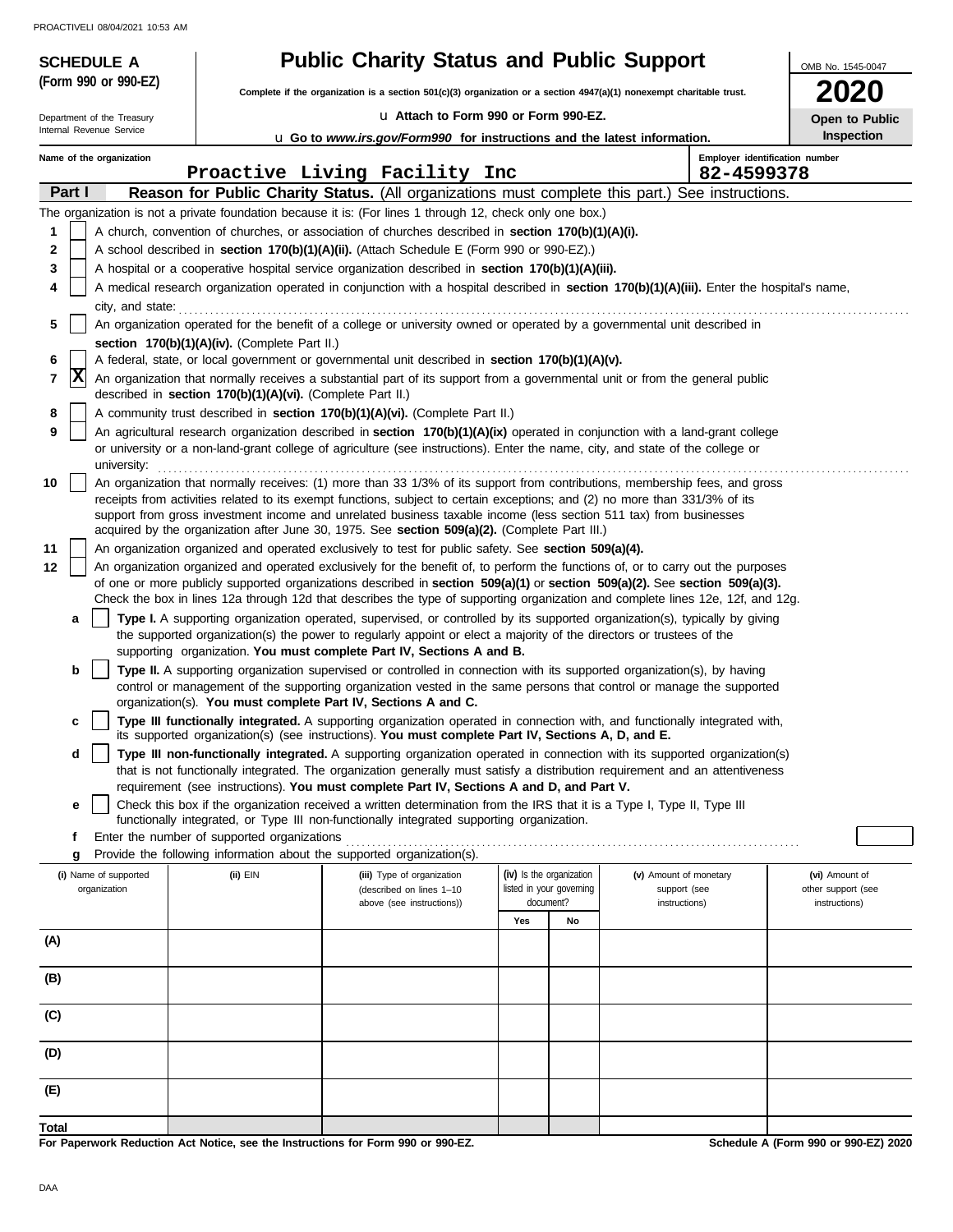| <b>SCHEDULE A</b>                     |                                                            | <b>Public Charity Status and Public Support</b>                                                                                                                                                                                                                 |                                                                                                                          |    |               | OMB No. 1545-0047                    |  |
|---------------------------------------|------------------------------------------------------------|-----------------------------------------------------------------------------------------------------------------------------------------------------------------------------------------------------------------------------------------------------------------|--------------------------------------------------------------------------------------------------------------------------|----|---------------|--------------------------------------|--|
| (Form 990 or 990-EZ)                  |                                                            |                                                                                                                                                                                                                                                                 | Complete if the organization is a section $501(c)(3)$ organization or a section $4947(a)(1)$ nonexempt charitable trust. |    |               |                                      |  |
| Department of the Treasury            |                                                            | La Attach to Form 990 or Form 990-EZ.                                                                                                                                                                                                                           | ZUZU<br>Open to Public                                                                                                   |    |               |                                      |  |
| Internal Revenue Service              |                                                            | <b>u</b> Go to www.irs.gov/Form990 for instructions and the latest information.                                                                                                                                                                                 |                                                                                                                          |    |               | Inspection                           |  |
| Name of the organization              |                                                            |                                                                                                                                                                                                                                                                 |                                                                                                                          |    |               | Employer identification number       |  |
| Part I                                |                                                            | Proactive Living Facility Inc<br>Reason for Public Charity Status. (All organizations must complete this part.) See instructions.                                                                                                                               |                                                                                                                          |    | 82-4599378    |                                      |  |
|                                       |                                                            | The organization is not a private foundation because it is: (For lines 1 through 12, check only one box.)                                                                                                                                                       |                                                                                                                          |    |               |                                      |  |
| 1                                     |                                                            | A church, convention of churches, or association of churches described in section 170(b)(1)(A)(i).                                                                                                                                                              |                                                                                                                          |    |               |                                      |  |
| 2                                     |                                                            | A school described in <b>section 170(b)(1)(A)(ii).</b> (Attach Schedule E (Form 990 or 990-EZ).)                                                                                                                                                                |                                                                                                                          |    |               |                                      |  |
| 3                                     |                                                            | A hospital or a cooperative hospital service organization described in section 170(b)(1)(A)(iii).                                                                                                                                                               |                                                                                                                          |    |               |                                      |  |
| 4                                     |                                                            | A medical research organization operated in conjunction with a hospital described in section 170(b)(1)(A)(iii). Enter the hospital's name,                                                                                                                      |                                                                                                                          |    |               |                                      |  |
| city, and state:                      |                                                            |                                                                                                                                                                                                                                                                 |                                                                                                                          |    |               |                                      |  |
| 5                                     | section 170(b)(1)(A)(iv). (Complete Part II.)              | An organization operated for the benefit of a college or university owned or operated by a governmental unit described in                                                                                                                                       |                                                                                                                          |    |               |                                      |  |
| 6                                     |                                                            | A federal, state, or local government or governmental unit described in section 170(b)(1)(A)(v).                                                                                                                                                                |                                                                                                                          |    |               |                                      |  |
| X<br>7                                |                                                            | An organization that normally receives a substantial part of its support from a governmental unit or from the general public                                                                                                                                    |                                                                                                                          |    |               |                                      |  |
|                                       | described in section 170(b)(1)(A)(vi). (Complete Part II.) |                                                                                                                                                                                                                                                                 |                                                                                                                          |    |               |                                      |  |
| 8                                     |                                                            | A community trust described in section 170(b)(1)(A)(vi). (Complete Part II.)                                                                                                                                                                                    |                                                                                                                          |    |               |                                      |  |
| 9<br>university:                      |                                                            | An agricultural research organization described in section 170(b)(1)(A)(ix) operated in conjunction with a land-grant college<br>or university or a non-land-grant college of agriculture (see instructions). Enter the name, city, and state of the college or |                                                                                                                          |    |               |                                      |  |
| 10                                    |                                                            | An organization that normally receives: (1) more than 33 1/3% of its support from contributions, membership fees, and gross                                                                                                                                     |                                                                                                                          |    |               |                                      |  |
|                                       |                                                            | receipts from activities related to its exempt functions, subject to certain exceptions; and (2) no more than 331/3% of its                                                                                                                                     |                                                                                                                          |    |               |                                      |  |
|                                       |                                                            | support from gross investment income and unrelated business taxable income (less section 511 tax) from businesses<br>acquired by the organization after June 30, 1975. See section 509(a)(2). (Complete Part III.)                                              |                                                                                                                          |    |               |                                      |  |
| 11                                    |                                                            | An organization organized and operated exclusively to test for public safety. See section 509(a)(4).                                                                                                                                                            |                                                                                                                          |    |               |                                      |  |
| 12                                    |                                                            | An organization organized and operated exclusively for the benefit of, to perform the functions of, or to carry out the purposes                                                                                                                                |                                                                                                                          |    |               |                                      |  |
|                                       |                                                            | of one or more publicly supported organizations described in section 509(a)(1) or section 509(a)(2). See section 509(a)(3).                                                                                                                                     |                                                                                                                          |    |               |                                      |  |
|                                       |                                                            | Check the box in lines 12a through 12d that describes the type of supporting organization and complete lines 12e, 12f, and 12g.                                                                                                                                 |                                                                                                                          |    |               |                                      |  |
| a                                     |                                                            | Type I. A supporting organization operated, supervised, or controlled by its supported organization(s), typically by giving<br>the supported organization(s) the power to regularly appoint or elect a majority of the directors or trustees of the             |                                                                                                                          |    |               |                                      |  |
|                                       |                                                            | supporting organization. You must complete Part IV, Sections A and B.                                                                                                                                                                                           |                                                                                                                          |    |               |                                      |  |
| b                                     |                                                            | <b>Type II.</b> A supporting organization supervised or controlled in connection with its supported organization(s), by having                                                                                                                                  |                                                                                                                          |    |               |                                      |  |
|                                       |                                                            | control or management of the supporting organization vested in the same persons that control or manage the supported                                                                                                                                            |                                                                                                                          |    |               |                                      |  |
| c                                     |                                                            | organization(s). You must complete Part IV, Sections A and C.<br>Type III functionally integrated. A supporting organization operated in connection with, and functionally integrated with,                                                                     |                                                                                                                          |    |               |                                      |  |
|                                       |                                                            | its supported organization(s) (see instructions). You must complete Part IV, Sections A, D, and E.                                                                                                                                                              |                                                                                                                          |    |               |                                      |  |
| d                                     |                                                            | Type III non-functionally integrated. A supporting organization operated in connection with its supported organization(s)                                                                                                                                       |                                                                                                                          |    |               |                                      |  |
|                                       |                                                            | that is not functionally integrated. The organization generally must satisfy a distribution requirement and an attentiveness<br>requirement (see instructions). You must complete Part IV, Sections A and D, and Part V.                                        |                                                                                                                          |    |               |                                      |  |
| е                                     |                                                            | Check this box if the organization received a written determination from the IRS that it is a Type I, Type II, Type III                                                                                                                                         |                                                                                                                          |    |               |                                      |  |
|                                       |                                                            | functionally integrated, or Type III non-functionally integrated supporting organization.                                                                                                                                                                       |                                                                                                                          |    |               |                                      |  |
| f                                     | Enter the number of supported organizations                |                                                                                                                                                                                                                                                                 |                                                                                                                          |    |               |                                      |  |
| g                                     |                                                            | Provide the following information about the supported organization(s).                                                                                                                                                                                          |                                                                                                                          |    |               |                                      |  |
| (i) Name of supported<br>organization | $(ii)$ EIN                                                 | (iii) Type of organization<br>(described on lines 1-10                                                                                                                                                                                                          | (iv) Is the organization<br>(v) Amount of monetary<br>listed in your governing                                           |    | support (see  | (vi) Amount of<br>other support (see |  |
|                                       |                                                            | above (see instructions))                                                                                                                                                                                                                                       | document?                                                                                                                |    | instructions) | instructions)                        |  |
|                                       |                                                            |                                                                                                                                                                                                                                                                 | Yes                                                                                                                      | No |               |                                      |  |
| (A)                                   |                                                            |                                                                                                                                                                                                                                                                 |                                                                                                                          |    |               |                                      |  |
| (B)                                   |                                                            |                                                                                                                                                                                                                                                                 |                                                                                                                          |    |               |                                      |  |
| (C)                                   |                                                            |                                                                                                                                                                                                                                                                 |                                                                                                                          |    |               |                                      |  |
| (D)                                   |                                                            |                                                                                                                                                                                                                                                                 |                                                                                                                          |    |               |                                      |  |
| (E)                                   |                                                            |                                                                                                                                                                                                                                                                 |                                                                                                                          |    |               |                                      |  |
|                                       |                                                            |                                                                                                                                                                                                                                                                 |                                                                                                                          |    |               |                                      |  |
| <b>Total</b>                          |                                                            |                                                                                                                                                                                                                                                                 |                                                                                                                          |    |               |                                      |  |

**For Paperwork Reduction Act Notice, see the Instructions for Form 990 or 990-EZ.**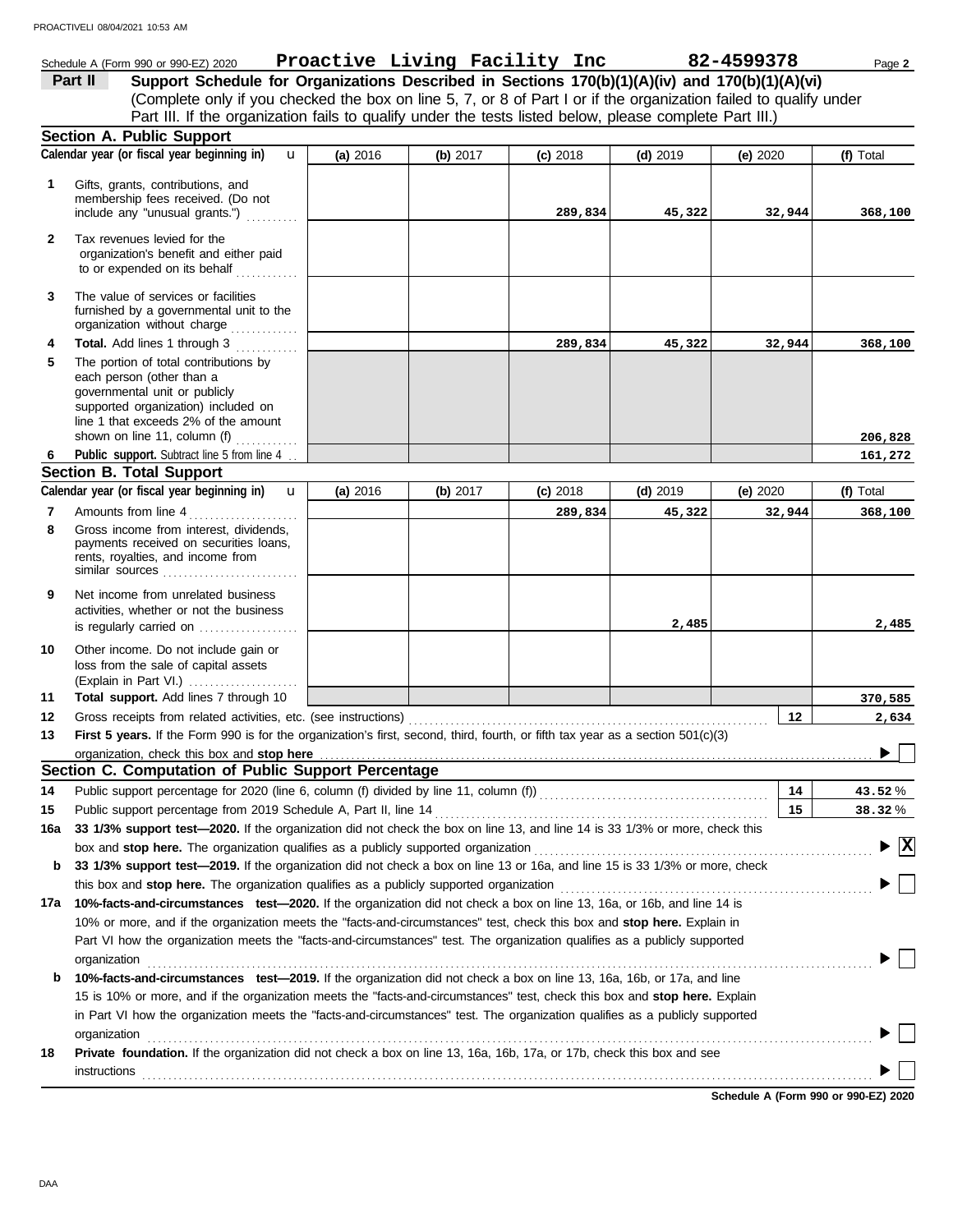### Schedule A (Form 990 or 990-EZ) 2020 Page **2 Proactive Living Facility Inc 82-4599378 Part II Support Schedule for Organizations Described in Sections 170(b)(1)(A)(iv) and 170(b)(1)(A)(vi)** (Complete only if you checked the box on line 5, 7, or 8 of Part I or if the organization failed to qualify under Part III. If the organization fails to qualify under the tests listed below, please complete Part III.) **Section A. Public Support Calendar year (or fiscal year beginning in) (f)** Total u **(a)** 2016 **(b)** 2017 **(c)** 2018 **(d)** 2019 **(e)** 2020 Gifts, grants, contributions, and **1** membership fees received. (Do not **289,834 45,322 32,944 368,100** include any "unusual grants.") .......... **2** Tax revenues levied for the organization's benefit and either paid to or expended on its behalf ............ **3** The value of services or facilities furnished by a governmental unit to the organization without charge ............. **4 Total.** Add lines 1 through 3 **289,834 45,322 32,944 368,100 5** The portion of total contributions by each person (other than a governmental unit or publicly supported organization) included on line 1 that exceeds 2% of the amount **206,828** shown on line 11, column (f)  $\ldots$ Public support. Subtract line 5 from line 4. **6 161,272 Section B. Total Support** Calendar year (or fiscal year beginning in)  $\bf{u}$  (a) 2016 | (b) 2017 | (c) 2018 | (d) 2019 | (e) 2020 | (f) Total u **(b)** 2017 **(c)** 2018 **(d)** 2019 **(e)** 2020 **(a)** 2016 **7** Amounts from line 4 . . . . . . . . . . . . . . . . . . . . . **289,834 45,322 32,944 368,100** Gross income from interest, dividends, **8** payments received on securities loans, rents, royalties, and income from similar sources . . . . . . . . . . . . . . . . . . . . . . . . . . **9** Net income from unrelated business activities, whether or not the business **2,485 2,485** is regularly carried on ................... Other income. Do not include gain or **10** loss from the sale of capital assets (Explain in Part VI.) . . . . . . . . . . . . . . . . . . . . . **Total support.** Add lines 7 through 10 **370,585 11 12 12 2,634** Gross receipts from related activities, etc. (see instructions) . . . . . . . . . . . . . . . . . . . . . . . . . . . . . . . . . . . . . . . . . . . . . . . . . . . . . . . . . . . . . . . . . . . . . **13 First 5 years.** If the Form 990 is for the organization's first, second, third, fourth, or fifth tax year as a section 501(c)(3) organization, check this box and stop here  $\blacktriangleright$ **Section C. Computation of Public Support Percentage 14** Public support percentage for 2020 (line 6, column (f) divided by line 11, column (f)) . . . . . . . . . . . . . . . . . . . . . . . . . . . . . . . . . . . . . . . . . . . . **14** % **43.52 15** Public support percentage from 2019 Schedule A, Part II, line 14 . . . . . . . . . . . . . . . . . . . . . . . . . . . . . . . . . . . . . . . . . . . . . . . . . . . . . . . . . . . . . . . . **15** % **38.32 16a 33 1/3% support test—2020.** If the organization did not check the box on line 13, and line 14 is 33 1/3% or more, check this box and **stop here.** The organization qualifies as a publicly supported organization . . . . . . . . . . . . . . . . . . . . . . . . . . . . . . . . . . . . . . . . . . . . . . . . . . . . . . . . . . . . . . . . . **X b 33 1/3% support test—2019.** If the organization did not check a box on line 13 or 16a, and line 15 is 33 1/3% or more, check this box and **stop here.** The organization qualifies as a publicly supported organization . . . . . . . . . . . . . . . . . . . . . . . . . . . . . . . . . . . . . . . . . . . . . . . . . . . . . . . . . . . . **17a 10%-facts-and-circumstances test—2020.** If the organization did not check a box on line 13, 16a, or 16b, and line 14 is 10% or more, and if the organization meets the "facts-and-circumstances" test, check this box and **stop here.** Explain in Part VI how the organization meets the "facts-and-circumstances" test. The organization qualifies as a publicly supported organization . . . . . . . . . . . . . . . . . . . . . . . . . . . . . . . . . . . . . . . . . . . . . . . . . . . . . . . . . . . . . . . . . . . . . . . . . . . . . . . . . . . . . . . . . . . . . . . . . . . . . . . . . . . . . . . . . . . . . . . . . . . . . . . . . . . . . . . . . . . **b 10%-facts-and-circumstances test—2019.** If the organization did not check a box on line 13, 16a, 16b, or 17a, and line 15 is 10% or more, and if the organization meets the "facts-and-circumstances" test, check this box and **stop here.** Explain in Part VI how the organization meets the "facts-and-circumstances" test. The organization qualifies as a publicly supported organization contains a contained a series of the contained and contained a series of the containing of the containing of the containing of the containing of the containing of the containing of the containing of the contai

**18 Private foundation.** If the organization did not check a box on line 13, 16a, 16b, 17a, or 17b, check this box and see

**Schedule A (Form 990 or 990-EZ) 2020** instructions<br>
<sub>contr</sub>ettions<br>
and the contract of the contract of the contract of the contract of the contract of the contract of the contract of the contract of the contract of the contract of the contract of the contract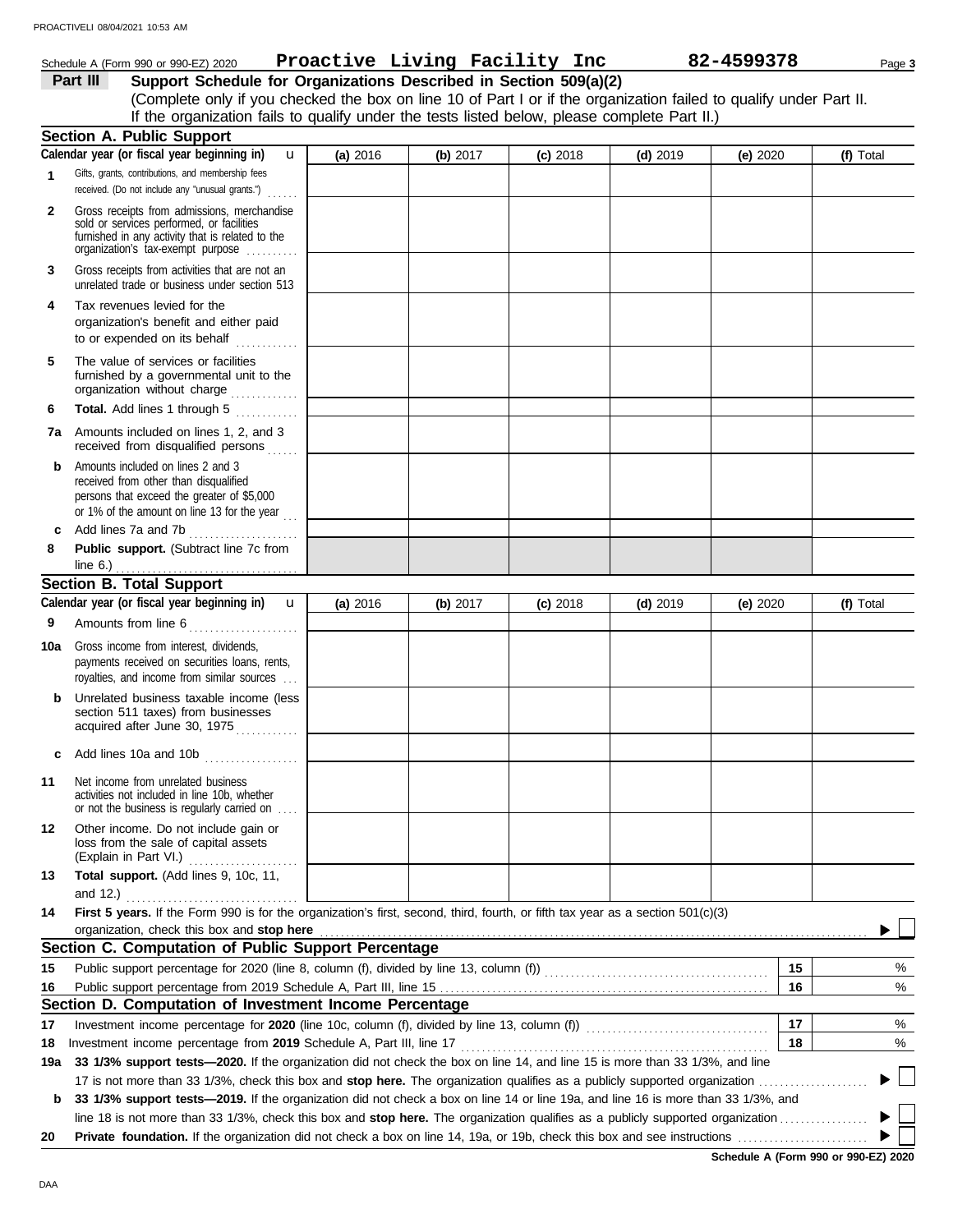# Schedule A (Form 990 or 990-EZ) 2020 Page **3 Proactive Living Facility Inc 82-4599378**

**Part III Support Schedule for Organizations Described in Section 509(a)(2)** (Complete only if you checked the box on line 10 of Part I or if the organization failed to qualify under Part II. If the organization fails to qualify under the tests listed below, please complete Part II.)

|     | <b>Section A. Public Support</b>                                                                                                                                                  |          |            |            |            |          |                |
|-----|-----------------------------------------------------------------------------------------------------------------------------------------------------------------------------------|----------|------------|------------|------------|----------|----------------|
|     | Calendar year (or fiscal year beginning in)<br>u                                                                                                                                  | (a) 2016 | (b) $2017$ | $(c)$ 2018 | $(d)$ 2019 | (e) 2020 | (f) Total      |
| 1   | Gifts, grants, contributions, and membership fees<br>received. (Do not include any "unusual grants.")                                                                             |          |            |            |            |          |                |
| 2   | Gross receipts from admissions, merchandise<br>sold or services performed, or facilities<br>furnished in any activity that is related to the<br>organization's fax-exempt purpose |          |            |            |            |          |                |
| 3   | Gross receipts from activities that are not an<br>unrelated trade or business under section 513                                                                                   |          |            |            |            |          |                |
| 4   | Tax revenues levied for the<br>organization's benefit and either paid<br>to or expended on its behalf<br>.                                                                        |          |            |            |            |          |                |
| 5   | The value of services or facilities<br>furnished by a governmental unit to the<br>organization without charge                                                                     |          |            |            |            |          |                |
| 6   | Total. Add lines 1 through 5                                                                                                                                                      |          |            |            |            |          |                |
| 7a  | Amounts included on lines 1, 2, and 3<br>received from disqualified persons                                                                                                       |          |            |            |            |          |                |
| b   | Amounts included on lines 2 and 3<br>received from other than disqualified<br>persons that exceed the greater of \$5,000<br>or 1% of the amount on line 13 for the year $\ldots$  |          |            |            |            |          |                |
| c   | Add lines 7a and 7b                                                                                                                                                               |          |            |            |            |          |                |
| 8   | Public support. (Subtract line 7c from<br>line $6.$ )                                                                                                                             |          |            |            |            |          |                |
|     | <b>Section B. Total Support</b>                                                                                                                                                   |          |            |            |            |          |                |
|     | Calendar year (or fiscal year beginning in)<br>$\mathbf{u}$                                                                                                                       | (a) 2016 | (b) 2017   | $(c)$ 2018 | $(d)$ 2019 | (e) 2020 | (f) Total      |
| 9   | Amounts from line 6                                                                                                                                                               |          |            |            |            |          |                |
|     |                                                                                                                                                                                   |          |            |            |            |          |                |
| 10a | Gross income from interest, dividends,<br>payments received on securities loans, rents,<br>royalties, and income from similar sources                                             |          |            |            |            |          |                |
| b   | Unrelated business taxable income (less<br>section 511 taxes) from businesses<br>acquired after June 30, 1975                                                                     |          |            |            |            |          |                |
| c   | Add lines 10a and 10b $\ldots$ $\ldots$ $\ldots$                                                                                                                                  |          |            |            |            |          |                |
| 11  | Net income from unrelated business<br>activities not included in line 10b, whether<br>or not the business is regularly carried on                                                 |          |            |            |            |          |                |
| 12  | Other income. Do not include gain or<br>loss from the sale of capital assets<br>(Explain in Part VI.)<br>.                                                                        |          |            |            |            |          |                |
| 13  | Total support. (Add lines 9, 10c, 11,                                                                                                                                             |          |            |            |            |          |                |
|     | and $12.$ )                                                                                                                                                                       |          |            |            |            |          |                |
| 14  | First 5 years. If the Form 990 is for the organization's first, second, third, fourth, or fifth tax year as a section 501(c)(3)                                                   |          |            |            |            |          |                |
|     | organization, check this box and stop here                                                                                                                                        |          |            |            |            |          |                |
|     | Section C. Computation of Public Support Percentage                                                                                                                               |          |            |            |            | 15       |                |
| 15  |                                                                                                                                                                                   |          |            |            |            |          | %              |
| 16  | Section D. Computation of Investment Income Percentage                                                                                                                            |          |            |            |            | 16       | %              |
| 17  | Investment income percentage for 2020 (line 10c, column (f), divided by line 13, column (f)) [[[[[[[[[[[[[[[[[                                                                    |          |            |            |            | 17       | %              |
| 18  | Investment income percentage from 2019 Schedule A, Part III, line 17                                                                                                              |          |            |            |            | 18       | %              |
| 19a | 33 1/3% support tests-2020. If the organization did not check the box on line 14, and line 15 is more than 33 1/3%, and line                                                      |          |            |            |            |          |                |
|     | 17 is not more than 33 1/3%, check this box and <b>stop here.</b> The organization qualifies as a publicly supported organization <i>marrorrorrorrorrorrorror</i>                 |          |            |            |            |          | $\mathbb{R}^n$ |
| b   | 33 1/3% support tests-2019. If the organization did not check a box on line 14 or line 19a, and line 16 is more than 33 1/3%, and                                                 |          |            |            |            |          |                |
|     |                                                                                                                                                                                   |          |            |            |            |          |                |
| 20  |                                                                                                                                                                                   |          |            |            |            |          |                |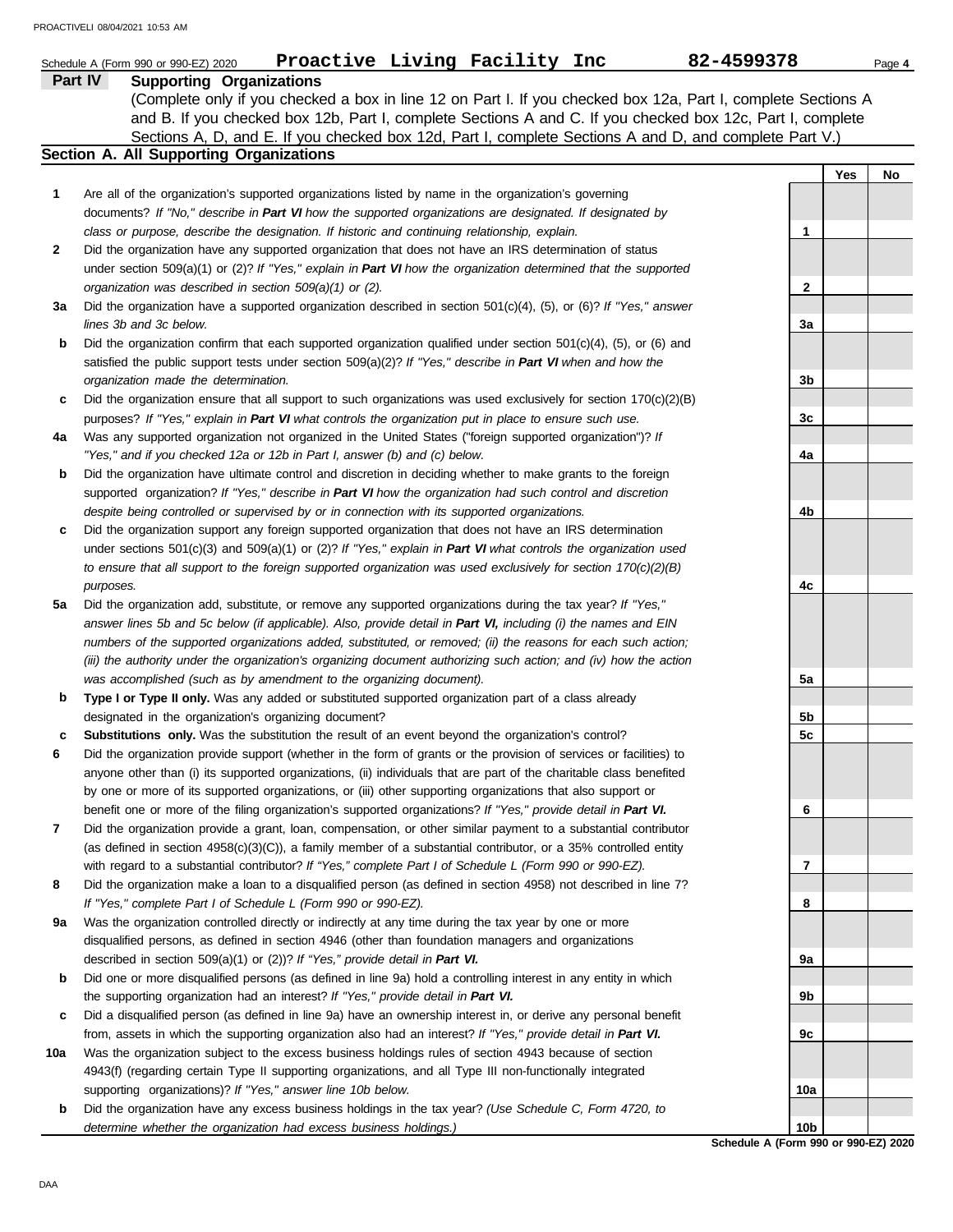|              | Proactive Living Facility Inc<br>Schedule A (Form 990 or 990-EZ) 2020                                               | 82-4599378      |     | Page 4 |
|--------------|---------------------------------------------------------------------------------------------------------------------|-----------------|-----|--------|
|              | Part IV<br><b>Supporting Organizations</b>                                                                          |                 |     |        |
|              | (Complete only if you checked a box in line 12 on Part I. If you checked box 12a, Part I, complete Sections A       |                 |     |        |
|              | and B. If you checked box 12b, Part I, complete Sections A and C. If you checked box 12c, Part I, complete          |                 |     |        |
|              | Sections A, D, and E. If you checked box 12d, Part I, complete Sections A and D, and complete Part V.)              |                 |     |        |
|              | <b>Section A. All Supporting Organizations</b>                                                                      |                 |     |        |
|              |                                                                                                                     |                 | Yes | No     |
| 1            | Are all of the organization's supported organizations listed by name in the organization's governing                |                 |     |        |
|              | documents? If "No," describe in Part VI how the supported organizations are designated. If designated by            |                 |     |        |
|              | class or purpose, describe the designation. If historic and continuing relationship, explain.                       | 1               |     |        |
| $\mathbf{2}$ | Did the organization have any supported organization that does not have an IRS determination of status              |                 |     |        |
|              | under section 509(a)(1) or (2)? If "Yes," explain in Part VI how the organization determined that the supported     |                 |     |        |
|              | organization was described in section $509(a)(1)$ or (2).                                                           | $\mathbf{2}$    |     |        |
| За           | Did the organization have a supported organization described in section $501(c)(4)$ , (5), or (6)? If "Yes," answer |                 |     |        |
|              | lines 3b and 3c below.                                                                                              | За              |     |        |
| b            | Did the organization confirm that each supported organization qualified under section $501(c)(4)$ , (5), or (6) and |                 |     |        |
|              | satisfied the public support tests under section 509(a)(2)? If "Yes," describe in Part VI when and how the          |                 |     |        |
|              | organization made the determination.                                                                                | 3b              |     |        |
| c            | Did the organization ensure that all support to such organizations was used exclusively for section $170(c)(2)(B)$  |                 |     |        |
|              | purposes? If "Yes," explain in Part VI what controls the organization put in place to ensure such use.              | 3c              |     |        |
| 4a           | Was any supported organization not organized in the United States ("foreign supported organization")? If            |                 |     |        |
|              | "Yes," and if you checked 12a or 12b in Part I, answer (b) and (c) below.                                           | 4a              |     |        |
| b            | Did the organization have ultimate control and discretion in deciding whether to make grants to the foreign         |                 |     |        |
|              | supported organization? If "Yes," describe in Part VI how the organization had such control and discretion          |                 |     |        |
|              | despite being controlled or supervised by or in connection with its supported organizations.                        | 4b              |     |        |
| c            | Did the organization support any foreign supported organization that does not have an IRS determination             |                 |     |        |
|              | under sections $501(c)(3)$ and $509(a)(1)$ or (2)? If "Yes," explain in Part VI what controls the organization used |                 |     |        |
|              | to ensure that all support to the foreign supported organization was used exclusively for section $170(c)(2)(B)$    |                 |     |        |
|              | purposes.                                                                                                           | 4c              |     |        |
| 5a           | Did the organization add, substitute, or remove any supported organizations during the tax year? If "Yes,"          |                 |     |        |
|              | answer lines 5b and 5c below (if applicable). Also, provide detail in Part VI, including (i) the names and EIN      |                 |     |        |
|              | numbers of the supported organizations added, substituted, or removed; (ii) the reasons for each such action;       |                 |     |        |
|              | (iii) the authority under the organization's organizing document authorizing such action; and (iv) how the action   |                 |     |        |
|              | was accomplished (such as by amendment to the organizing document).                                                 | 5а              |     |        |
| b            | Type I or Type II only. Was any added or substituted supported organization part of a class already                 |                 |     |        |
|              | designated in the organization's organizing document?                                                               | 5b              |     |        |
| с            | Substitutions only. Was the substitution the result of an event beyond the organization's control?                  | 5c              |     |        |
| 6            | Did the organization provide support (whether in the form of grants or the provision of services or facilities) to  |                 |     |        |
|              | anyone other than (i) its supported organizations, (ii) individuals that are part of the charitable class benefited |                 |     |        |
|              | by one or more of its supported organizations, or (iii) other supporting organizations that also support or         |                 |     |        |
|              | benefit one or more of the filing organization's supported organizations? If "Yes," provide detail in Part VI.      | 6               |     |        |
| 7            | Did the organization provide a grant, loan, compensation, or other similar payment to a substantial contributor     |                 |     |        |
|              | (as defined in section 4958(c)(3)(C)), a family member of a substantial contributor, or a 35% controlled entity     |                 |     |        |
|              | with regard to a substantial contributor? If "Yes," complete Part I of Schedule L (Form 990 or 990-EZ).             | 7               |     |        |
| 8            | Did the organization make a loan to a disqualified person (as defined in section 4958) not described in line 7?     |                 |     |        |
|              | If "Yes," complete Part I of Schedule L (Form 990 or 990-EZ).                                                       | 8               |     |        |
| 9а           | Was the organization controlled directly or indirectly at any time during the tax year by one or more               |                 |     |        |
|              | disqualified persons, as defined in section 4946 (other than foundation managers and organizations                  |                 |     |        |
|              | described in section 509(a)(1) or (2))? If "Yes," provide detail in Part VI.                                        | 9а              |     |        |
| b            | Did one or more disqualified persons (as defined in line 9a) hold a controlling interest in any entity in which     |                 |     |        |
|              | the supporting organization had an interest? If "Yes," provide detail in Part VI.                                   | 9b              |     |        |
| c            | Did a disqualified person (as defined in line 9a) have an ownership interest in, or derive any personal benefit     |                 |     |        |
|              | from, assets in which the supporting organization also had an interest? If "Yes," provide detail in Part VI.        | 9c              |     |        |
| 10a          | Was the organization subject to the excess business holdings rules of section 4943 because of section               |                 |     |        |
|              | 4943(f) (regarding certain Type II supporting organizations, and all Type III non-functionally integrated           |                 |     |        |
|              | supporting organizations)? If "Yes," answer line 10b below.                                                         | 10a             |     |        |
| b            | Did the organization have any excess business holdings in the tax year? (Use Schedule C, Form 4720, to              |                 |     |        |
|              | determine whether the organization had excess business holdings.)                                                   | 10 <sub>b</sub> |     |        |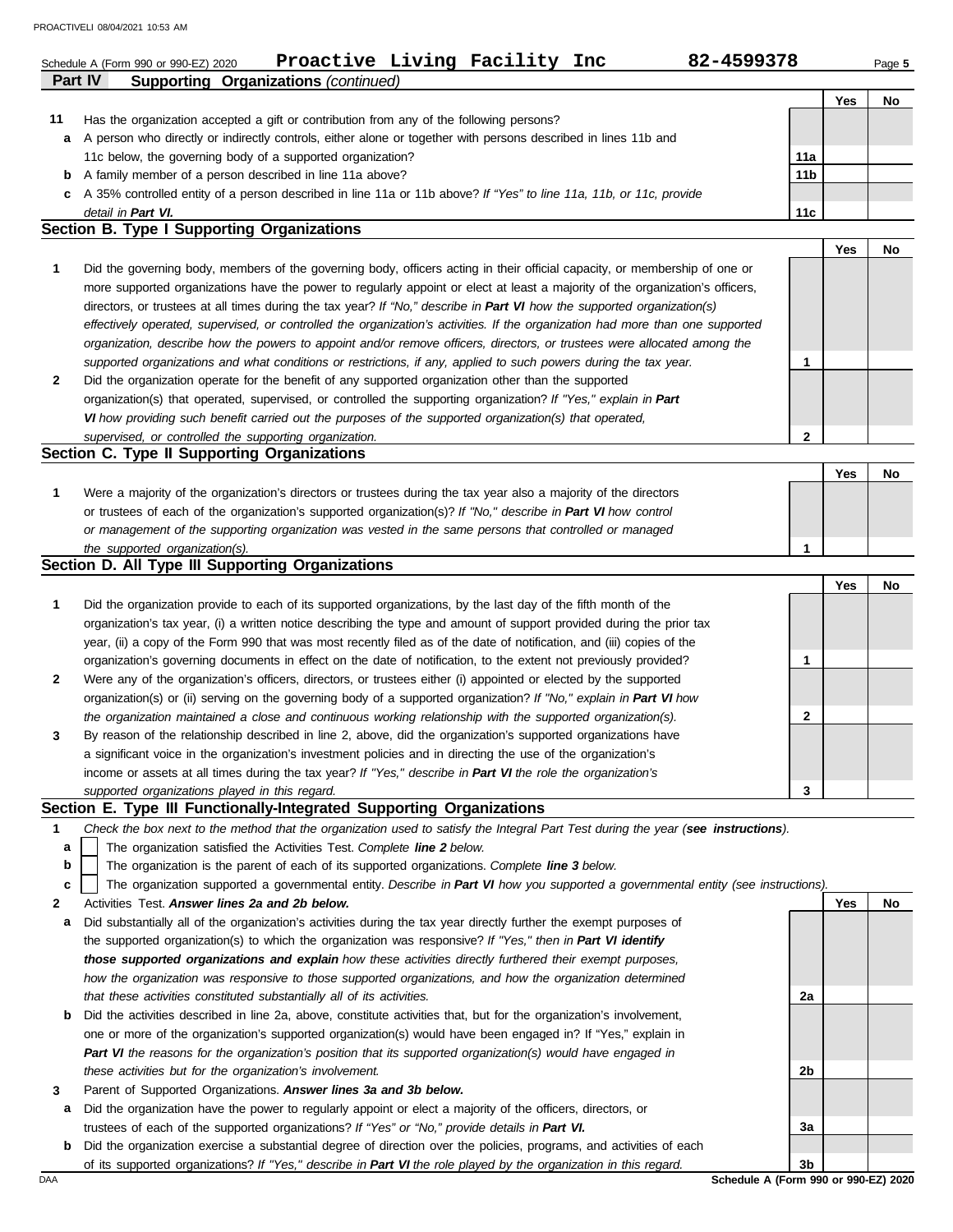|    | Proactive Living Facility Inc<br>82-4599378<br>Schedule A (Form 990 or 990-EZ) 2020                                                                                                                       |             |     | Page 5 |
|----|-----------------------------------------------------------------------------------------------------------------------------------------------------------------------------------------------------------|-------------|-----|--------|
|    | Part IV<br><b>Supporting Organizations (continued)</b>                                                                                                                                                    |             |     |        |
|    |                                                                                                                                                                                                           |             | Yes | No     |
| 11 | Has the organization accepted a gift or contribution from any of the following persons?<br>A person who directly or indirectly controls, either alone or together with persons described in lines 11b and |             |     |        |
| а  |                                                                                                                                                                                                           | 11a         |     |        |
|    | 11c below, the governing body of a supported organization?                                                                                                                                                |             |     |        |
| b  | A family member of a person described in line 11a above?                                                                                                                                                  | 11b         |     |        |
| c  | A 35% controlled entity of a person described in line 11a or 11b above? If "Yes" to line 11a, 11b, or 11c, provide                                                                                        |             |     |        |
|    | detail in Part VI.<br>Section B. Type I Supporting Organizations                                                                                                                                          | 11c         |     |        |
|    |                                                                                                                                                                                                           |             | Yes | No     |
| 1  | Did the governing body, members of the governing body, officers acting in their official capacity, or membership of one or                                                                                |             |     |        |
|    | more supported organizations have the power to regularly appoint or elect at least a majority of the organization's officers,                                                                             |             |     |        |
|    | directors, or trustees at all times during the tax year? If "No," describe in Part VI how the supported organization(s)                                                                                   |             |     |        |
|    | effectively operated, supervised, or controlled the organization's activities. If the organization had more than one supported                                                                            |             |     |        |
|    | organization, describe how the powers to appoint and/or remove officers, directors, or trustees were allocated among the                                                                                  |             |     |        |
|    | supported organizations and what conditions or restrictions, if any, applied to such powers during the tax year.                                                                                          | 1           |     |        |
| 2  | Did the organization operate for the benefit of any supported organization other than the supported                                                                                                       |             |     |        |
|    | organization(s) that operated, supervised, or controlled the supporting organization? If "Yes," explain in Part                                                                                           |             |     |        |
|    | VI how providing such benefit carried out the purposes of the supported organization(s) that operated,                                                                                                    |             |     |        |
|    | supervised, or controlled the supporting organization.                                                                                                                                                    | $\mathbf 2$ |     |        |
|    | Section C. Type II Supporting Organizations                                                                                                                                                               |             |     |        |
|    |                                                                                                                                                                                                           |             | Yes | No     |
| 1  | Were a majority of the organization's directors or trustees during the tax year also a majority of the directors                                                                                          |             |     |        |
|    | or trustees of each of the organization's supported organization(s)? If "No," describe in Part VI how control                                                                                             |             |     |        |
|    | or management of the supporting organization was vested in the same persons that controlled or managed                                                                                                    |             |     |        |
|    | the supported organization(s).                                                                                                                                                                            | 1           |     |        |
|    | Section D. All Type III Supporting Organizations                                                                                                                                                          |             |     |        |
|    |                                                                                                                                                                                                           |             | Yes | No     |
| 1  | Did the organization provide to each of its supported organizations, by the last day of the fifth month of the                                                                                            |             |     |        |
|    | organization's tax year, (i) a written notice describing the type and amount of support provided during the prior tax                                                                                     |             |     |        |
|    | year, (ii) a copy of the Form 990 that was most recently filed as of the date of notification, and (iii) copies of the                                                                                    |             |     |        |
|    | organization's governing documents in effect on the date of notification, to the extent not previously provided?                                                                                          | 1           |     |        |
|    | Were any of the organization's officers, directors, or trustees either (i) appointed or elected by the supported                                                                                          |             |     |        |
|    | organization(s) or (ii) serving on the governing body of a supported organization? If "No," explain in Part VI how                                                                                        |             |     |        |
|    | the organization maintained a close and continuous working relationship with the supported organization(s).                                                                                               | 2           |     |        |
| 3  | By reason of the relationship described in line 2, above, did the organization's supported organizations have                                                                                             |             |     |        |
|    | a significant voice in the organization's investment policies and in directing the use of the organization's                                                                                              |             |     |        |
|    | income or assets at all times during the tax year? If "Yes," describe in Part VI the role the organization's                                                                                              |             |     |        |
|    | supported organizations played in this regard.                                                                                                                                                            | 3           |     |        |
|    | Section E. Type III Functionally-Integrated Supporting Organizations                                                                                                                                      |             |     |        |
| 1  | Check the box next to the method that the organization used to satisfy the Integral Part Test during the year (see instructions).                                                                         |             |     |        |
| а  | The organization satisfied the Activities Test. Complete line 2 below.                                                                                                                                    |             |     |        |
| b  | The organization is the parent of each of its supported organizations. Complete line 3 below.                                                                                                             |             |     |        |
| c  | The organization supported a governmental entity. Describe in Part VI how you supported a governmental entity (see instructions).                                                                         |             |     |        |
| 2  | Activities Test. Answer lines 2a and 2b below.                                                                                                                                                            |             | Yes | No     |
| а  | Did substantially all of the organization's activities during the tax year directly further the exempt purposes of                                                                                        |             |     |        |
|    | the supported organization(s) to which the organization was responsive? If "Yes," then in Part VI identify                                                                                                |             |     |        |

- **b** Did the activities described in line 2a, above, constitute activities that, but for the organization's involvement, *those supported organizations and explain how these activities directly furthered their exempt purposes, how the organization was responsive to those supported organizations, and how the organization determined that these activities constituted substantially all of its activities.* one or more of the organization's supported organization(s) would have been engaged in? If "Yes," explain in *Part VI the reasons for the organization's position that its supported organization(s) would have engaged in*
- **3** Parent of Supported Organizations. *Answer lines 3a and 3b below.*

*these activities but for the organization's involvement.*

- **a** Did the organization have the power to regularly appoint or elect a majority of the officers, directors, or trustees of each of the supported organizations? *If "Yes" or "No," provide details in Part VI.*
- **b** Did the organization exercise a substantial degree of direction over the policies, programs, and activities of each of its supported organizations? *If "Yes," describe in Part VI the role played by the organization in this regard.*

DAA **Schedule A (Form 990 or 990-EZ) 2020 3b**

**2a**

**2b**

**3a**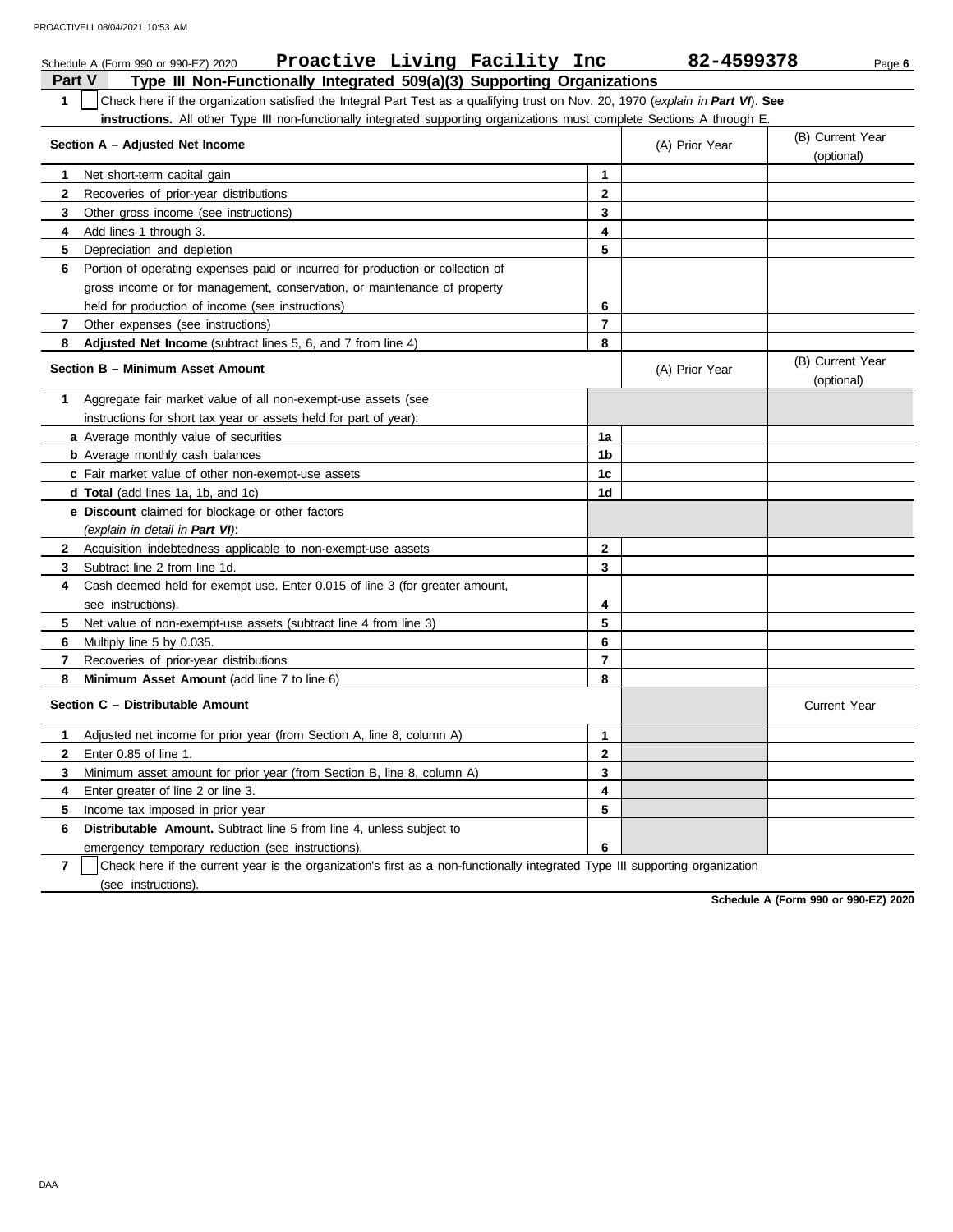|              | Proactive Living Facility Inc<br>Schedule A (Form 990 or 990-EZ) 2020                                                            |                         | 82-4599378     | Page 6                         |
|--------------|----------------------------------------------------------------------------------------------------------------------------------|-------------------------|----------------|--------------------------------|
| Part V       | Type III Non-Functionally Integrated 509(a)(3) Supporting Organizations                                                          |                         |                |                                |
| $\mathbf{1}$ | Check here if the organization satisfied the Integral Part Test as a qualifying trust on Nov. 20, 1970 (explain in Part VI). See |                         |                |                                |
|              | <b>instructions.</b> All other Type III non-functionally integrated supporting organizations must complete Sections A through E. |                         |                |                                |
|              | Section A - Adjusted Net Income                                                                                                  |                         | (A) Prior Year | (B) Current Year<br>(optional) |
| 1.           | Net short-term capital gain                                                                                                      | 1                       |                |                                |
| $\mathbf{2}$ | Recoveries of prior-year distributions                                                                                           | $\mathbf{2}$            |                |                                |
| 3            | Other gross income (see instructions)                                                                                            | 3                       |                |                                |
| 4            | Add lines 1 through 3.                                                                                                           | $\overline{\mathbf{4}}$ |                |                                |
| 5            | Depreciation and depletion                                                                                                       | 5                       |                |                                |
| 6            | Portion of operating expenses paid or incurred for production or collection of                                                   |                         |                |                                |
|              | gross income or for management, conservation, or maintenance of property                                                         |                         |                |                                |
|              | held for production of income (see instructions)                                                                                 | 6                       |                |                                |
| 7            | Other expenses (see instructions)                                                                                                | 7                       |                |                                |
| 8            | <b>Adjusted Net Income</b> (subtract lines 5, 6, and 7 from line 4)                                                              | 8                       |                |                                |
|              | Section B - Minimum Asset Amount                                                                                                 |                         | (A) Prior Year | (B) Current Year<br>(optional) |
| 1            | Aggregate fair market value of all non-exempt-use assets (see                                                                    |                         |                |                                |
|              | instructions for short tax year or assets held for part of year):                                                                |                         |                |                                |
|              | a Average monthly value of securities                                                                                            | 1a                      |                |                                |
|              | <b>b</b> Average monthly cash balances                                                                                           | 1b                      |                |                                |
|              | c Fair market value of other non-exempt-use assets                                                                               | 1c                      |                |                                |
|              | d Total (add lines 1a, 1b, and 1c)                                                                                               | 1d                      |                |                                |
|              | <b>e</b> Discount claimed for blockage or other factors                                                                          |                         |                |                                |
|              | (explain in detail in Part VI):                                                                                                  |                         |                |                                |
| $\mathbf{2}$ | Acquisition indebtedness applicable to non-exempt-use assets                                                                     | $\mathbf{2}$            |                |                                |
| 3            | Subtract line 2 from line 1d.                                                                                                    | 3                       |                |                                |
| 4            | Cash deemed held for exempt use. Enter 0.015 of line 3 (for greater amount,                                                      |                         |                |                                |
|              | see instructions).                                                                                                               | 4                       |                |                                |
| 5            | Net value of non-exempt-use assets (subtract line 4 from line 3)                                                                 | 5                       |                |                                |
| 6            | Multiply line 5 by 0.035.                                                                                                        | 6                       |                |                                |
| 7            | Recoveries of prior-year distributions                                                                                           | $\overline{7}$          |                |                                |
| 8            | Minimum Asset Amount (add line 7 to line 6)                                                                                      | 8                       |                |                                |
|              | Section C - Distributable Amount                                                                                                 |                         |                | <b>Current Year</b>            |
| 1            | Adjusted net income for prior year (from Section A, line 8, column A)                                                            | 1                       |                |                                |
| $\mathbf{2}$ | Enter 0.85 of line 1.                                                                                                            | $\mathbf{2}$            |                |                                |
| 3            | Minimum asset amount for prior year (from Section B, line 8, column A)                                                           | 3                       |                |                                |
| 4            | Enter greater of line 2 or line 3.                                                                                               | 4                       |                |                                |
| 5            | Income tax imposed in prior year                                                                                                 | 5                       |                |                                |
| 6            | <b>Distributable Amount.</b> Subtract line 5 from line 4, unless subject to                                                      |                         |                |                                |
|              | emergency temporary reduction (see instructions).                                                                                | 6                       |                |                                |

**7** | Check here if the current year is the organization's first as a non-functionally integrated Type III supporting organization (see instructions).

**Schedule A (Form 990 or 990-EZ) 2020**

DAA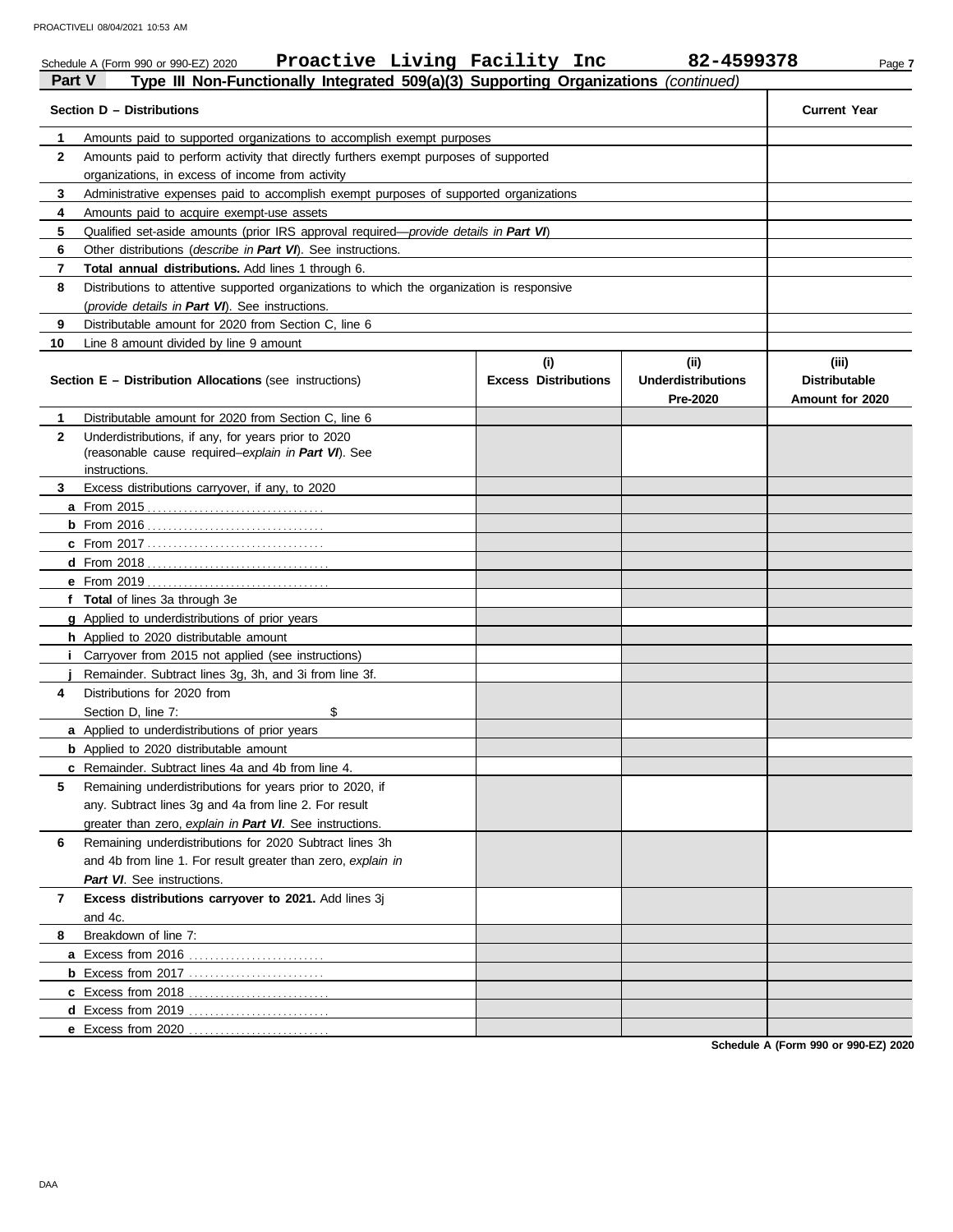|               | Proactive Living Facility Inc<br>Schedule A (Form 990 or 990-EZ) 2020                      |                             | 82-4599378                            | Page 7                                  |
|---------------|--------------------------------------------------------------------------------------------|-----------------------------|---------------------------------------|-----------------------------------------|
| <b>Part V</b> | Type III Non-Functionally Integrated 509(a)(3) Supporting Organizations (continued)        |                             |                                       |                                         |
|               | Section D - Distributions                                                                  |                             |                                       | <b>Current Year</b>                     |
| 1             | Amounts paid to supported organizations to accomplish exempt purposes                      |                             |                                       |                                         |
| $\mathbf{2}$  | Amounts paid to perform activity that directly furthers exempt purposes of supported       |                             |                                       |                                         |
|               |                                                                                            |                             |                                       |                                         |
| 3             | Administrative expenses paid to accomplish exempt purposes of supported organizations      |                             |                                       |                                         |
| 4             | Amounts paid to acquire exempt-use assets                                                  |                             |                                       |                                         |
| 5             | Qualified set-aside amounts (prior IRS approval required—provide details in Part VI)       |                             |                                       |                                         |
| 6             | Other distributions (describe in Part VI). See instructions.                               |                             |                                       |                                         |
| 7             | Total annual distributions. Add lines 1 through 6.                                         |                             |                                       |                                         |
| 8             | Distributions to attentive supported organizations to which the organization is responsive |                             |                                       |                                         |
|               | (provide details in Part VI). See instructions.                                            |                             |                                       |                                         |
| 9             | Distributable amount for 2020 from Section C, line 6                                       |                             |                                       |                                         |
| 10            | Line 8 amount divided by line 9 amount                                                     |                             |                                       |                                         |
|               |                                                                                            | (i)                         | (ii)                                  | (iii)                                   |
|               | <b>Section E - Distribution Allocations (see instructions)</b>                             | <b>Excess Distributions</b> | <b>Underdistributions</b><br>Pre-2020 | <b>Distributable</b><br>Amount for 2020 |
| 1             | Distributable amount for 2020 from Section C, line 6                                       |                             |                                       |                                         |
| $\mathbf{2}$  | Underdistributions, if any, for years prior to 2020                                        |                             |                                       |                                         |
|               | (reasonable cause required-explain in Part VI). See                                        |                             |                                       |                                         |
|               | instructions.                                                                              |                             |                                       |                                         |
| 3             | Excess distributions carryover, if any, to 2020                                            |                             |                                       |                                         |
|               |                                                                                            |                             |                                       |                                         |
|               |                                                                                            |                             |                                       |                                         |
|               |                                                                                            |                             |                                       |                                         |
|               |                                                                                            |                             |                                       |                                         |
|               |                                                                                            |                             |                                       |                                         |
|               | f Total of lines 3a through 3e                                                             |                             |                                       |                                         |
|               | g Applied to underdistributions of prior years                                             |                             |                                       |                                         |
|               | h Applied to 2020 distributable amount                                                     |                             |                                       |                                         |
|               | <i>i</i> Carryover from 2015 not applied (see instructions)                                |                             |                                       |                                         |
|               | Remainder. Subtract lines 3g, 3h, and 3i from line 3f.                                     |                             |                                       |                                         |
| 4             | Distributions for 2020 from                                                                |                             |                                       |                                         |
|               | Section D, line 7:<br>\$                                                                   |                             |                                       |                                         |
|               | a Applied to underdistributions of prior years                                             |                             |                                       |                                         |
|               | <b>b</b> Applied to 2020 distributable amount                                              |                             |                                       |                                         |
|               | c Remainder. Subtract lines 4a and 4b from line 4.                                         |                             |                                       |                                         |
| 5             | Remaining underdistributions for years prior to 2020, if                                   |                             |                                       |                                         |
|               | any. Subtract lines 3g and 4a from line 2. For result                                      |                             |                                       |                                         |
|               | greater than zero, explain in Part VI. See instructions.                                   |                             |                                       |                                         |
| 6             | Remaining underdistributions for 2020 Subtract lines 3h                                    |                             |                                       |                                         |
|               | and 4b from line 1. For result greater than zero, explain in                               |                             |                                       |                                         |
|               | Part VI. See instructions.                                                                 |                             |                                       |                                         |
| 7             | Excess distributions carryover to 2021. Add lines 3j                                       |                             |                                       |                                         |
|               | and 4c.                                                                                    |                             |                                       |                                         |
| 8             | Breakdown of line 7:                                                                       |                             |                                       |                                         |
|               |                                                                                            |                             |                                       |                                         |
|               |                                                                                            |                             |                                       |                                         |
|               |                                                                                            |                             |                                       |                                         |
|               |                                                                                            |                             |                                       |                                         |
|               | e Excess from 2020                                                                         |                             |                                       |                                         |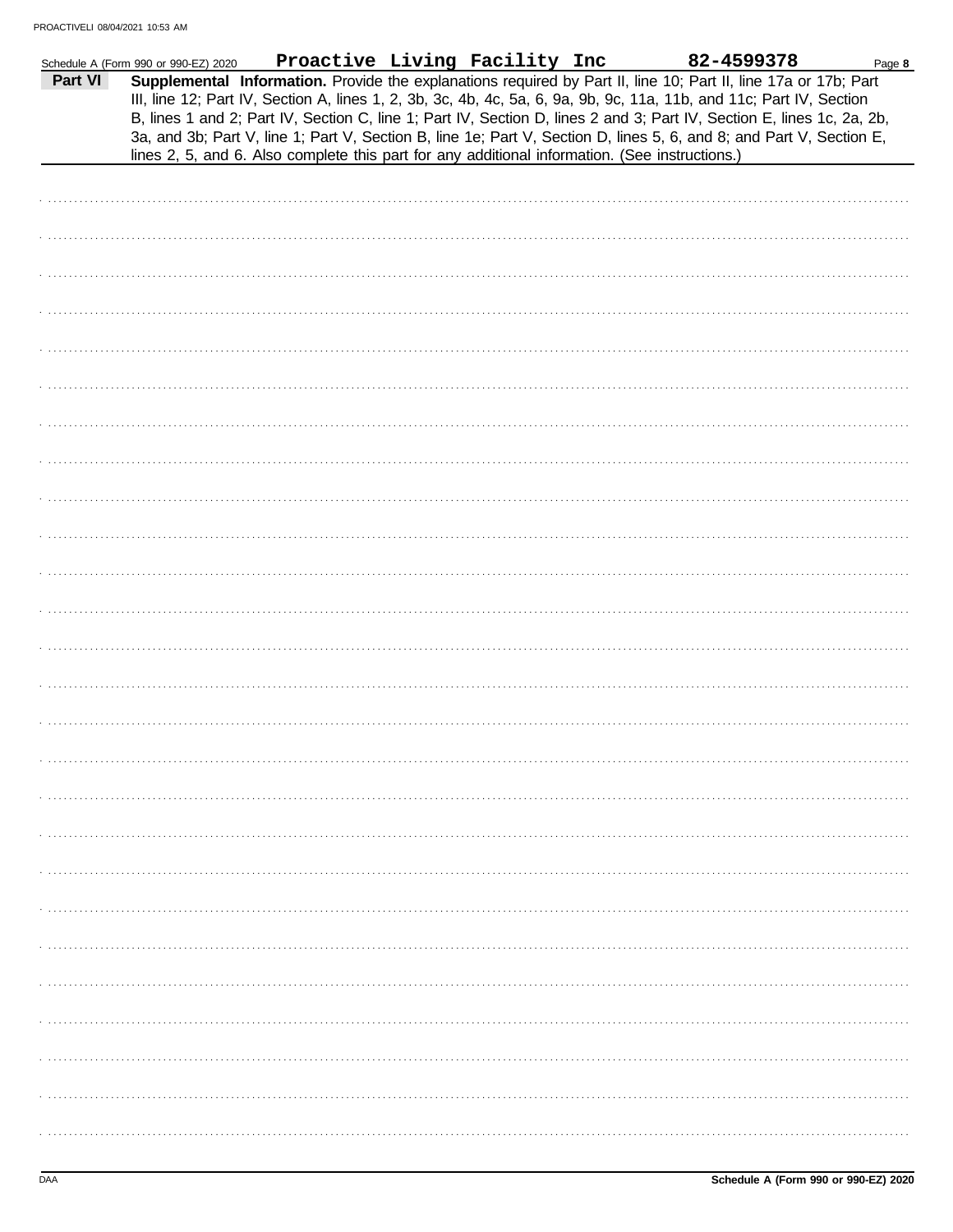|         | Schedule A (Form 990 or 990-EZ) 2020 | Proactive Living Facility Inc                                                                  |  | 82-4599378                                                                                                                                                                                                                                                                                                                                                                                                                                                                                | Page 8 |
|---------|--------------------------------------|------------------------------------------------------------------------------------------------|--|-------------------------------------------------------------------------------------------------------------------------------------------------------------------------------------------------------------------------------------------------------------------------------------------------------------------------------------------------------------------------------------------------------------------------------------------------------------------------------------------|--------|
| Part VI |                                      | lines 2, 5, and 6. Also complete this part for any additional information. (See instructions.) |  | Supplemental Information. Provide the explanations required by Part II, line 10; Part II, line 17a or 17b; Part<br>III, line 12; Part IV, Section A, lines 1, 2, 3b, 3c, 4b, 4c, 5a, 6, 9a, 9b, 9c, 11a, 11b, and 11c; Part IV, Section<br>B, lines 1 and 2; Part IV, Section C, line 1; Part IV, Section D, lines 2 and 3; Part IV, Section E, lines 1c, 2a, 2b,<br>3a, and 3b; Part V, line 1; Part V, Section B, line 1e; Part V, Section D, lines 5, 6, and 8; and Part V, Section E, |        |
|         |                                      |                                                                                                |  |                                                                                                                                                                                                                                                                                                                                                                                                                                                                                           |        |
|         |                                      |                                                                                                |  |                                                                                                                                                                                                                                                                                                                                                                                                                                                                                           |        |
|         |                                      |                                                                                                |  |                                                                                                                                                                                                                                                                                                                                                                                                                                                                                           |        |
|         |                                      |                                                                                                |  |                                                                                                                                                                                                                                                                                                                                                                                                                                                                                           |        |
|         |                                      |                                                                                                |  |                                                                                                                                                                                                                                                                                                                                                                                                                                                                                           |        |
|         |                                      |                                                                                                |  |                                                                                                                                                                                                                                                                                                                                                                                                                                                                                           |        |
|         |                                      |                                                                                                |  |                                                                                                                                                                                                                                                                                                                                                                                                                                                                                           |        |
|         |                                      |                                                                                                |  |                                                                                                                                                                                                                                                                                                                                                                                                                                                                                           |        |
|         |                                      |                                                                                                |  |                                                                                                                                                                                                                                                                                                                                                                                                                                                                                           |        |
|         |                                      |                                                                                                |  |                                                                                                                                                                                                                                                                                                                                                                                                                                                                                           |        |
|         |                                      |                                                                                                |  |                                                                                                                                                                                                                                                                                                                                                                                                                                                                                           |        |
|         |                                      |                                                                                                |  |                                                                                                                                                                                                                                                                                                                                                                                                                                                                                           |        |
|         |                                      |                                                                                                |  |                                                                                                                                                                                                                                                                                                                                                                                                                                                                                           |        |
|         |                                      |                                                                                                |  |                                                                                                                                                                                                                                                                                                                                                                                                                                                                                           |        |
|         |                                      |                                                                                                |  |                                                                                                                                                                                                                                                                                                                                                                                                                                                                                           |        |
|         |                                      |                                                                                                |  |                                                                                                                                                                                                                                                                                                                                                                                                                                                                                           |        |
|         |                                      |                                                                                                |  |                                                                                                                                                                                                                                                                                                                                                                                                                                                                                           |        |
|         |                                      |                                                                                                |  |                                                                                                                                                                                                                                                                                                                                                                                                                                                                                           |        |
|         |                                      |                                                                                                |  |                                                                                                                                                                                                                                                                                                                                                                                                                                                                                           |        |
|         |                                      |                                                                                                |  |                                                                                                                                                                                                                                                                                                                                                                                                                                                                                           |        |
|         |                                      |                                                                                                |  |                                                                                                                                                                                                                                                                                                                                                                                                                                                                                           |        |
|         |                                      |                                                                                                |  |                                                                                                                                                                                                                                                                                                                                                                                                                                                                                           |        |
|         |                                      |                                                                                                |  |                                                                                                                                                                                                                                                                                                                                                                                                                                                                                           |        |
|         |                                      |                                                                                                |  |                                                                                                                                                                                                                                                                                                                                                                                                                                                                                           |        |
|         |                                      |                                                                                                |  |                                                                                                                                                                                                                                                                                                                                                                                                                                                                                           |        |
|         |                                      |                                                                                                |  |                                                                                                                                                                                                                                                                                                                                                                                                                                                                                           |        |
|         |                                      |                                                                                                |  |                                                                                                                                                                                                                                                                                                                                                                                                                                                                                           |        |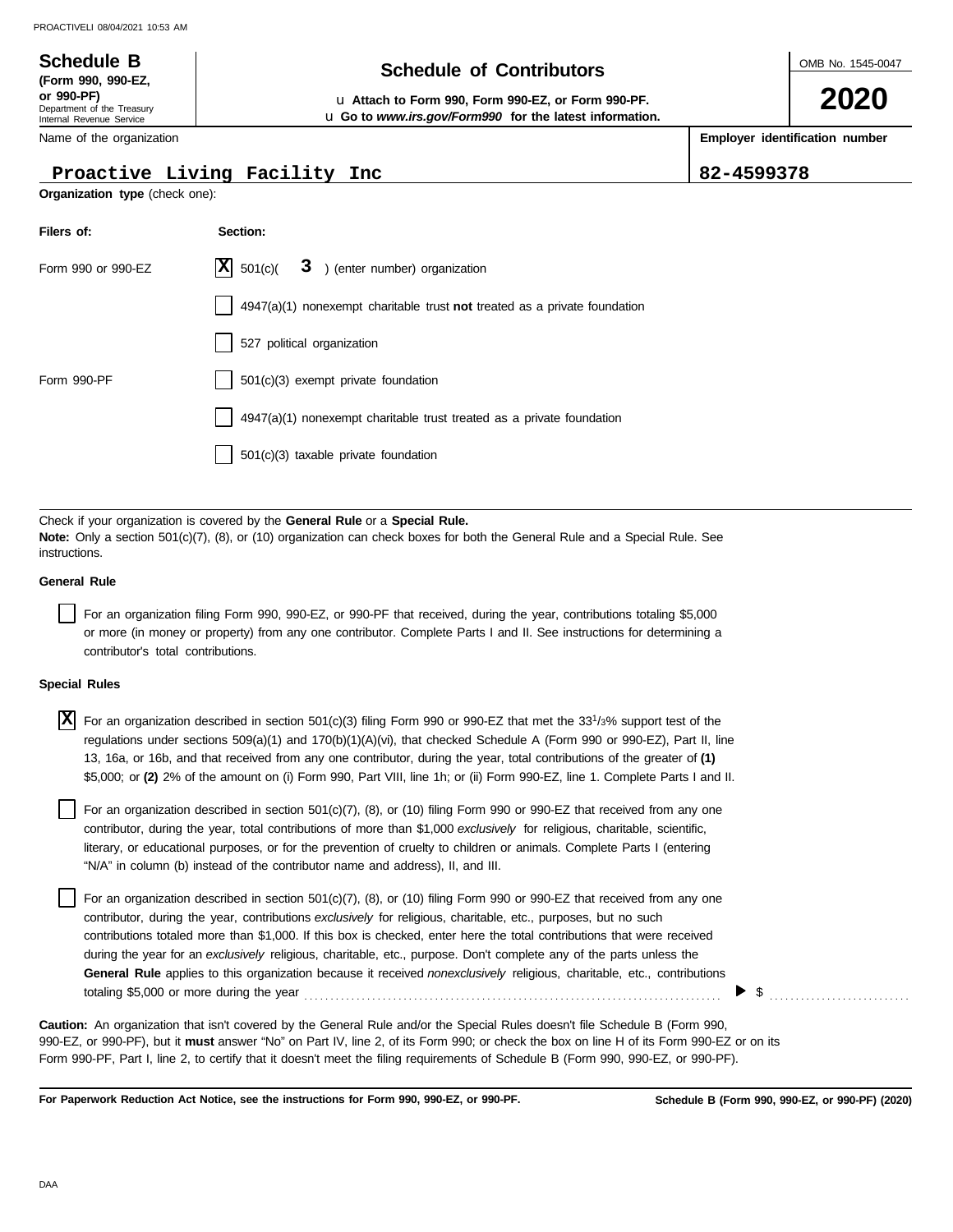# **Schedule B Schedule B Schedule B Schedule of Contributors**

**or 990-PF)** u **Attach to Form 990, Form 990-EZ, or Form 990-PF.** u **Go to** *www.irs.gov/Form990* **for the latest information.** OMB No. 1545-0047

**2020**

**Employer identification number**

|                                    | Proactive Living Facility Inc                                                                                                                                                                                                                                                                                                                                                                                                                                                                                                                                                                                                                                      | 82-4599378 |  |
|------------------------------------|--------------------------------------------------------------------------------------------------------------------------------------------------------------------------------------------------------------------------------------------------------------------------------------------------------------------------------------------------------------------------------------------------------------------------------------------------------------------------------------------------------------------------------------------------------------------------------------------------------------------------------------------------------------------|------------|--|
| Organization type (check one):     |                                                                                                                                                                                                                                                                                                                                                                                                                                                                                                                                                                                                                                                                    |            |  |
| Filers of:                         | Section:                                                                                                                                                                                                                                                                                                                                                                                                                                                                                                                                                                                                                                                           |            |  |
| Form 990 or 990-EZ                 | $ \mathbf{X} $ 501(c)(<br>3 ) (enter number) organization                                                                                                                                                                                                                                                                                                                                                                                                                                                                                                                                                                                                          |            |  |
|                                    | $4947(a)(1)$ nonexempt charitable trust not treated as a private foundation                                                                                                                                                                                                                                                                                                                                                                                                                                                                                                                                                                                        |            |  |
|                                    | 527 political organization                                                                                                                                                                                                                                                                                                                                                                                                                                                                                                                                                                                                                                         |            |  |
| Form 990-PF                        | 501(c)(3) exempt private foundation                                                                                                                                                                                                                                                                                                                                                                                                                                                                                                                                                                                                                                |            |  |
|                                    | 4947(a)(1) nonexempt charitable trust treated as a private foundation                                                                                                                                                                                                                                                                                                                                                                                                                                                                                                                                                                                              |            |  |
|                                    | 501(c)(3) taxable private foundation                                                                                                                                                                                                                                                                                                                                                                                                                                                                                                                                                                                                                               |            |  |
|                                    | Check if your organization is covered by the General Rule or a Special Rule.                                                                                                                                                                                                                                                                                                                                                                                                                                                                                                                                                                                       |            |  |
| instructions.                      | Note: Only a section 501(c)(7), (8), or (10) organization can check boxes for both the General Rule and a Special Rule. See                                                                                                                                                                                                                                                                                                                                                                                                                                                                                                                                        |            |  |
| <b>General Rule</b>                |                                                                                                                                                                                                                                                                                                                                                                                                                                                                                                                                                                                                                                                                    |            |  |
| contributor's total contributions. | For an organization filing Form 990, 990-EZ, or 990-PF that received, during the year, contributions totaling \$5,000<br>or more (in money or property) from any one contributor. Complete Parts I and II. See instructions for determining a                                                                                                                                                                                                                                                                                                                                                                                                                      |            |  |
| <b>Special Rules</b>               |                                                                                                                                                                                                                                                                                                                                                                                                                                                                                                                                                                                                                                                                    |            |  |
| X                                  | For an organization described in section 501(c)(3) filing Form 990 or 990-EZ that met the 33 <sup>1</sup> /3% support test of the<br>regulations under sections 509(a)(1) and 170(b)(1)(A)(vi), that checked Schedule A (Form 990 or 990-EZ), Part II, line<br>13, 16a, or 16b, and that received from any one contributor, during the year, total contributions of the greater of (1)<br>\$5,000; or (2) 2% of the amount on (i) Form 990, Part VIII, line 1h; or (ii) Form 990-EZ, line 1. Complete Parts I and II.                                                                                                                                              |            |  |
|                                    | For an organization described in section 501(c)(7), (8), or (10) filing Form 990 or 990-EZ that received from any one<br>contributor, during the year, total contributions of more than \$1,000 exclusively for religious, charitable, scientific,<br>literary, or educational purposes, or for the prevention of cruelty to children or animals. Complete Parts I (entering<br>"N/A" in column (b) instead of the contributor name and address), II, and III.                                                                                                                                                                                                     |            |  |
|                                    | For an organization described in section $501(c)(7)$ , (8), or (10) filing Form 990 or 990-EZ that received from any one<br>contributor, during the year, contributions exclusively for religious, charitable, etc., purposes, but no such<br>contributions totaled more than \$1,000. If this box is checked, enter here the total contributions that were received<br>during the year for an exclusively religious, charitable, etc., purpose. Don't complete any of the parts unless the<br>General Rule applies to this organization because it received nonexclusively religious, charitable, etc., contributions<br>totaling \$5,000 or more during the year | \$         |  |
|                                    | <b>Caution:</b> An organization that isn't covered by the General Rule and/or the Special Rules doesn't file Schedule B (Form 990,<br>990-EZ, or 990-PF), but it must answer "No" on Part IV, line 2, of its Form 990; or check the box on line H of its Form 990-EZ or on its<br>Form 990-PF, Part I, line 2, to certify that it doesn't meet the filing requirements of Schedule B (Form 990, 990-EZ, or 990-PF).                                                                                                                                                                                                                                                |            |  |

**For Paperwork Reduction Act Notice, see the instructions for Form 990, 990-EZ, or 990-PF.**

Department of the Treasury Internal Revenue Service **(Form 990, 990-EZ,**

Name of the organization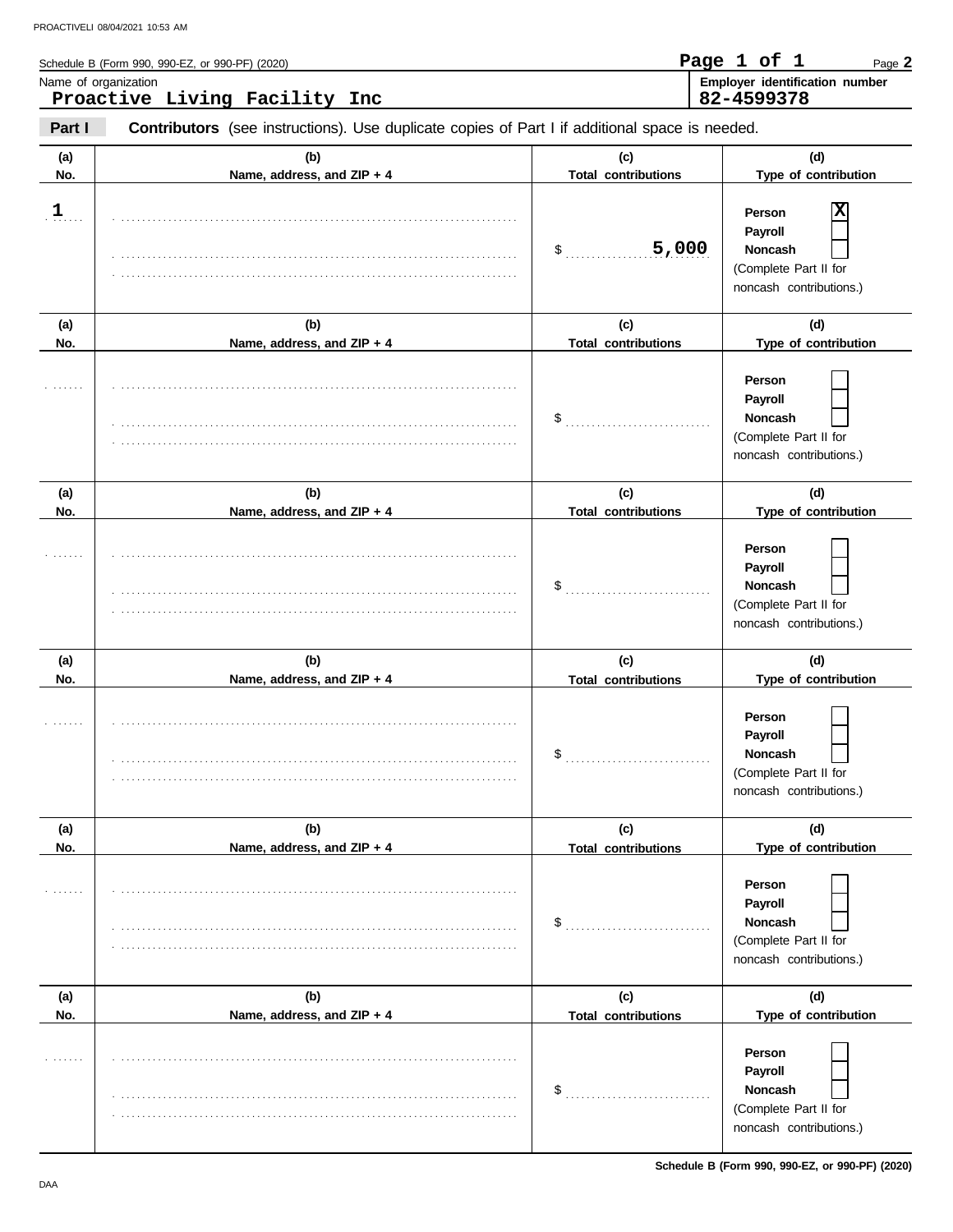|               | Schedule B (Form 990, 990-EZ, or 990-PF) (2020)                                                       |                                   | Page 1 of 1<br>Page 2                                                                                    |
|---------------|-------------------------------------------------------------------------------------------------------|-----------------------------------|----------------------------------------------------------------------------------------------------------|
|               | Name of organization<br>Proactive Living Facility Inc                                                 |                                   | Employer identification number<br>82-4599378                                                             |
| Part I        | <b>Contributors</b> (see instructions). Use duplicate copies of Part I if additional space is needed. |                                   |                                                                                                          |
| (a)<br>No.    | (b)<br>Name, address, and ZIP + 4                                                                     | (c)<br><b>Total contributions</b> | (d)<br>Type of contribution                                                                              |
| $\frac{1}{2}$ |                                                                                                       | 5,000<br>\$                       | х<br>Person<br>Payroll<br>Noncash<br>(Complete Part II for<br>noncash contributions.)                    |
| (a)<br>No.    | (b)<br>Name, address, and ZIP + 4                                                                     | (c)<br><b>Total contributions</b> | (d)<br>Type of contribution                                                                              |
|               |                                                                                                       | \$                                | Person<br>Payroll<br><b>Noncash</b><br>(Complete Part II for<br>noncash contributions.)                  |
| (a)           | (b)                                                                                                   | (c)                               | (d)                                                                                                      |
| No.           | Name, address, and ZIP + 4                                                                            | <b>Total contributions</b><br>\$  | Type of contribution<br>Person<br>Payroll<br>Noncash<br>(Complete Part II for<br>noncash contributions.) |
| (a)           | (b)                                                                                                   | (c)                               | (d)                                                                                                      |
| No.           | Name, address, and ZIP + 4                                                                            | <b>Total contributions</b>        | Type of contribution                                                                                     |
|               |                                                                                                       | \$                                | Person<br>Payroll<br>Noncash<br>(Complete Part II for<br>noncash contributions.)                         |
| (a)           | (b)                                                                                                   | (c)                               | (d)                                                                                                      |
| No.           | Name, address, and ZIP + 4                                                                            | <b>Total contributions</b>        | Type of contribution                                                                                     |

|     | $1.4411101$ and $0001$ and $011$ | TUMI VUHTIVUMUUTO          | The all communications                                                           |
|-----|----------------------------------|----------------------------|----------------------------------------------------------------------------------|
| .   |                                  | \$.                        | Person<br>Payroll<br>Noncash<br>(Complete Part II for<br>noncash contributions.) |
| (a) | (b)                              | (c)                        | (d)                                                                              |
| No. | Name, address, and ZIP + 4       | <b>Total contributions</b> | Type of contribution                                                             |
| .   |                                  |                            | Person<br>Payroll<br>Noncash<br>(Complete Part II for<br>noncash contributions.) |

**Schedule B (Form 990, 990-EZ, or 990-PF) (2020)**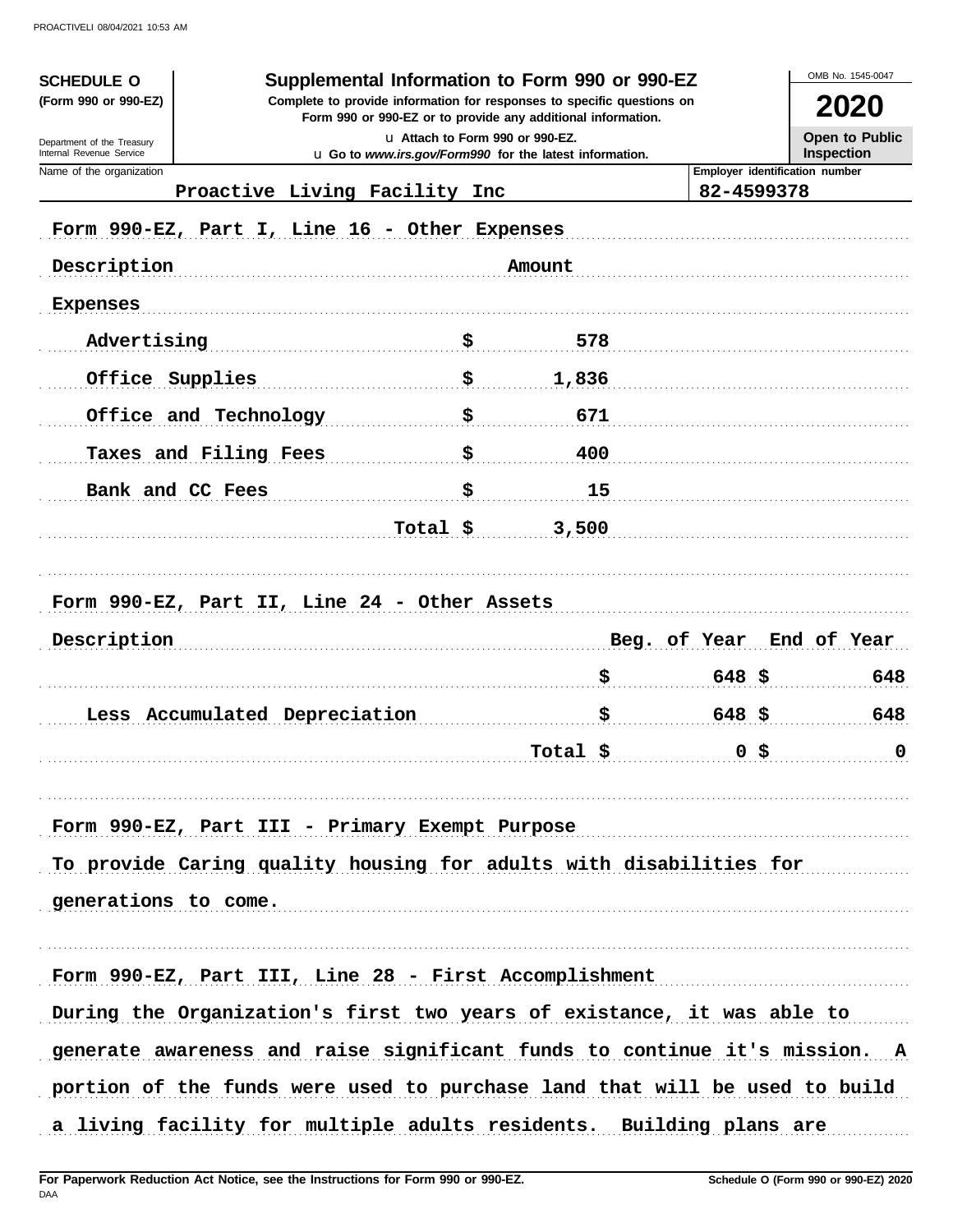| <b>SCHEDULE O</b><br>(Form 990 or 990-EZ)              |                                                                            | Supplemental Information to Form 990 or 990-EZ<br>Complete to provide information for responses to specific questions on |                 |                                | 2020                                       |
|--------------------------------------------------------|----------------------------------------------------------------------------|--------------------------------------------------------------------------------------------------------------------------|-----------------|--------------------------------|--------------------------------------------|
|                                                        |                                                                            | Form 990 or 990-EZ or to provide any additional information.                                                             |                 |                                |                                            |
| Department of the Treasury<br>Internal Revenue Service |                                                                            | La Attach to Form 990 or 990-EZ.<br>u Go to www.irs.gov/Form990 for the latest information.                              |                 |                                | <b>Open to Public</b><br><b>Inspection</b> |
| Name of the organization                               |                                                                            |                                                                                                                          |                 | Employer identification number |                                            |
|                                                        | Proactive Living Facility Inc                                              |                                                                                                                          |                 | 82-4599378                     |                                            |
|                                                        | Form 990-EZ, Part I, Line 16 - Other Expenses                              |                                                                                                                          |                 |                                |                                            |
| Description                                            |                                                                            |                                                                                                                          | Amount          |                                |                                            |
| <b>Expenses</b>                                        |                                                                            |                                                                                                                          |                 |                                |                                            |
| Advertising                                            |                                                                            |                                                                                                                          | 578             |                                |                                            |
|                                                        | Office Supplies                                                            | \$                                                                                                                       | 1,836           |                                |                                            |
|                                                        | Office and Technology                                                      |                                                                                                                          | 671             |                                |                                            |
|                                                        | Taxes and Filing Fees                                                      |                                                                                                                          | 400             |                                |                                            |
|                                                        | Bank and CC Fees                                                           | \$                                                                                                                       | 15              |                                |                                            |
|                                                        |                                                                            | Total \$                                                                                                                 | 3,500           |                                |                                            |
|                                                        | Form 990-EZ, Part II, Line 24 - Other Assets                               |                                                                                                                          |                 |                                |                                            |
| Description                                            |                                                                            |                                                                                                                          |                 | Beg. of Year                   | End of Year                                |
|                                                        |                                                                            |                                                                                                                          | \$              | $648$ \$                       | 648                                        |
|                                                        | Less Accumulated Depreciation                                              |                                                                                                                          |                 | $648$ \$                       | 648                                        |
|                                                        |                                                                            |                                                                                                                          | $Total \t$ 0 \$ |                                |                                            |
|                                                        |                                                                            |                                                                                                                          |                 |                                |                                            |
|                                                        | Form 990-EZ, Part III - Primary Exempt Purpose                             |                                                                                                                          |                 |                                |                                            |
|                                                        | To provide Caring quality housing for adults with disabilities for         |                                                                                                                          |                 |                                |                                            |
| generations to come.                                   |                                                                            |                                                                                                                          |                 |                                |                                            |
|                                                        |                                                                            |                                                                                                                          |                 |                                |                                            |
|                                                        | Form 990-EZ, Part III, Line 28 - First Accomplishment                      |                                                                                                                          |                 |                                |                                            |
|                                                        | During the Organization's first two years of existance, it was able to     |                                                                                                                          |                 |                                |                                            |
|                                                        | generate awareness and raise significant funds to continue it's mission. A |                                                                                                                          |                 |                                |                                            |
|                                                        | portion of the funds were used to purchase land that will be used to build |                                                                                                                          |                 |                                |                                            |
|                                                        | a living facility for multiple adults residents. Building plans are        |                                                                                                                          |                 |                                |                                            |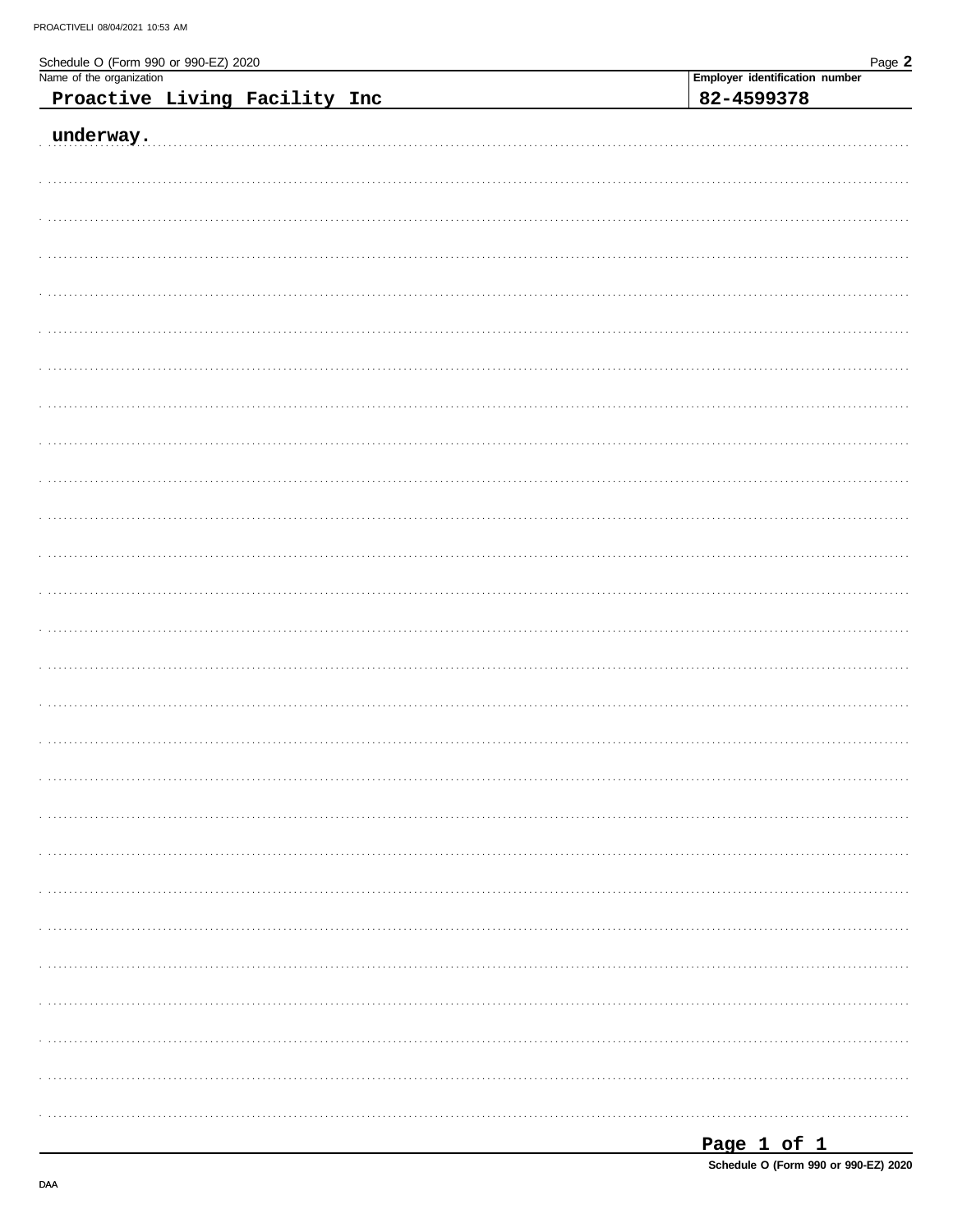| Schedule O (Form 990 or 990-EZ) 2020<br>Name of the organization | Page 2                         |
|------------------------------------------------------------------|--------------------------------|
|                                                                  | Employer identification number |
| Proactive Living Facility Inc                                    | 82-4599378                     |
|                                                                  |                                |
| underway.                                                        |                                |
|                                                                  |                                |
|                                                                  |                                |
|                                                                  |                                |
|                                                                  |                                |
|                                                                  |                                |
|                                                                  |                                |
|                                                                  |                                |
|                                                                  |                                |
|                                                                  |                                |
|                                                                  |                                |
|                                                                  |                                |
|                                                                  |                                |
|                                                                  |                                |
|                                                                  |                                |
|                                                                  |                                |
|                                                                  |                                |
|                                                                  |                                |
|                                                                  |                                |
|                                                                  |                                |
|                                                                  |                                |
|                                                                  |                                |
|                                                                  |                                |
|                                                                  |                                |
|                                                                  |                                |
|                                                                  |                                |
|                                                                  |                                |
|                                                                  |                                |
|                                                                  |                                |
|                                                                  |                                |
|                                                                  |                                |
|                                                                  |                                |
|                                                                  |                                |
|                                                                  |                                |
|                                                                  |                                |
|                                                                  |                                |
|                                                                  |                                |
|                                                                  |                                |
|                                                                  |                                |
|                                                                  |                                |
|                                                                  |                                |
|                                                                  |                                |
|                                                                  |                                |
|                                                                  |                                |
|                                                                  |                                |
|                                                                  |                                |
|                                                                  |                                |
|                                                                  |                                |
|                                                                  |                                |
|                                                                  |                                |

| Page 1 of 1                          |  |  |  |
|--------------------------------------|--|--|--|
| Schedule O (Form 990 or 990-EZ) 2020 |  |  |  |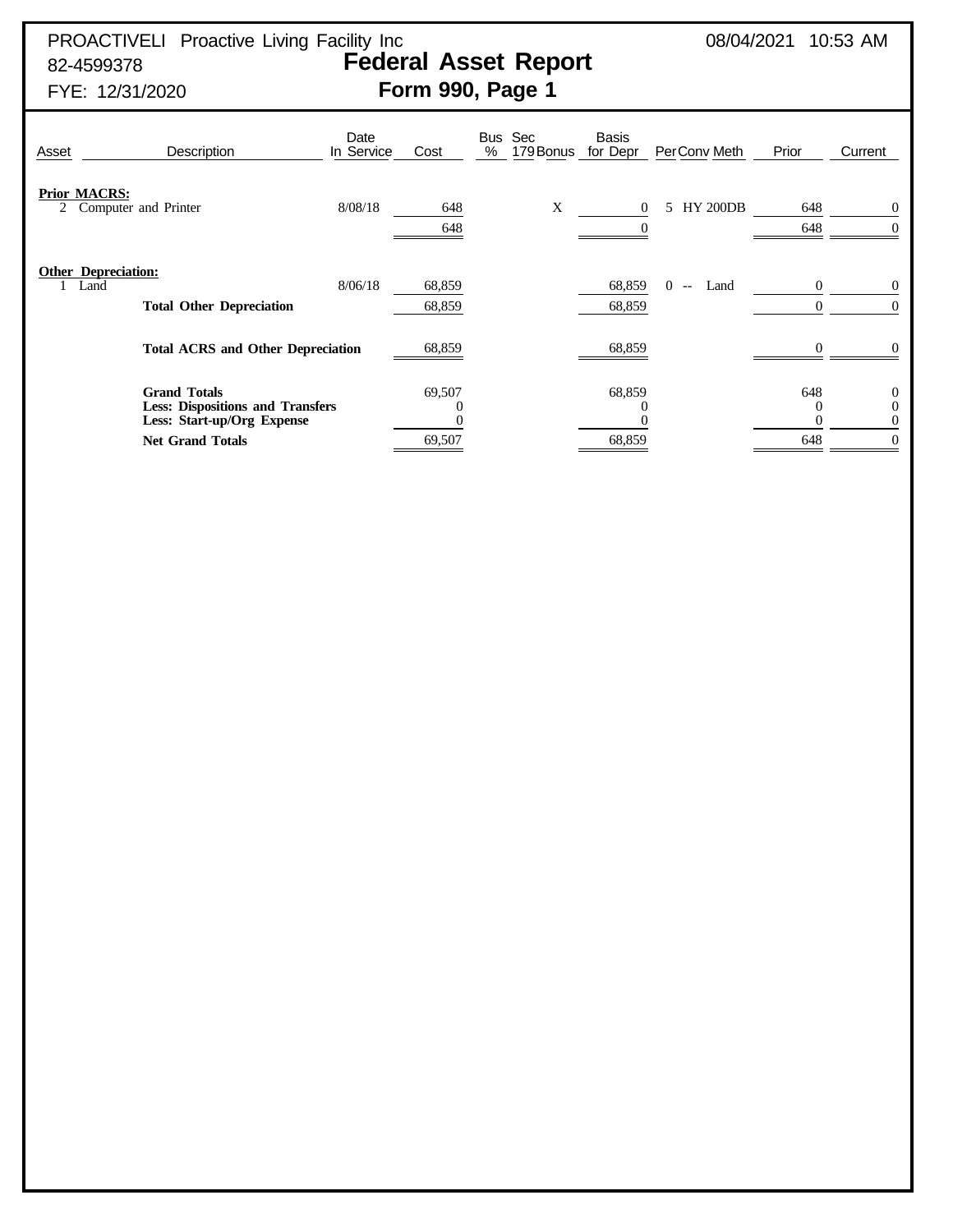PROACTIVELI Proactive Living Facility Inc  $08/04/2021$  10:53 AM 82-4599378 **Federal Asset Report**

# FYE: 12/31/2020 **Form 990, Page 1**

| Asset | Description                                                                                  | Date<br>In Service | Cost             | Sec<br><b>Bus</b><br>179 Bonus<br>% | <b>Basis</b><br>for Depr | PerConv Meth          | Prior                | Current                                |
|-------|----------------------------------------------------------------------------------------------|--------------------|------------------|-------------------------------------|--------------------------|-----------------------|----------------------|----------------------------------------|
| 2     | <b>Prior MACRS:</b><br>Computer and Printer                                                  | 8/08/18            | 648<br>648       | X                                   | $\Omega$                 | <b>HY 200DB</b><br>5. | 648<br>648           | $\overline{0}$<br>$\theta$             |
|       | <b>Other Depreciation:</b><br>Land<br><b>Total Other Depreciation</b>                        | 8/06/18            | 68,859<br>68,859 |                                     | 68,859<br>68,859         | 0<br>Land<br>$-$      | $\Omega$<br>$\Omega$ | $\overline{0}$<br>$\Omega$             |
|       | <b>Total ACRS and Other Depreciation</b>                                                     |                    | 68,859           |                                     | 68,859                   |                       |                      | $\Omega$                               |
|       | <b>Grand Totals</b><br><b>Less: Dispositions and Transfers</b><br>Less: Start-up/Org Expense |                    | 69,507<br>$_{0}$ |                                     | 68,859                   |                       | 648<br>0             | $\overline{0}$<br>$\theta$<br>$\theta$ |
|       | <b>Net Grand Totals</b>                                                                      |                    | 69,507           |                                     | 68,859                   |                       | 648                  | $\theta$                               |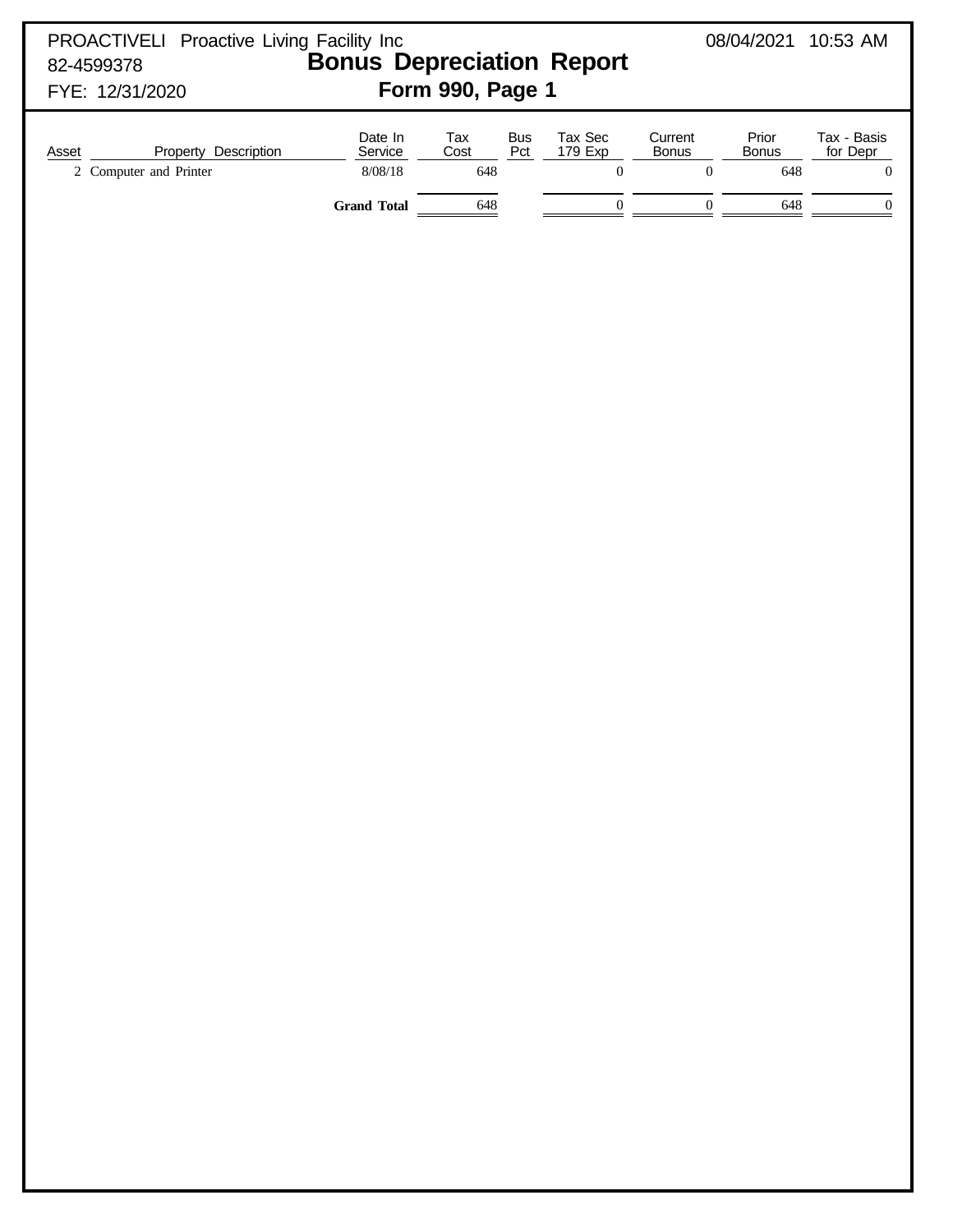| PROACTIVELI Proactive Living Facility Inc<br>82-4599378<br>FYE: 12/31/2020 | <b>Bonus Depreciation Report</b>                      | Form 990, Page 1                                    |                                                            |                                                                 | 08/04/2021 10:53 AM                      |                                                                 |
|----------------------------------------------------------------------------|-------------------------------------------------------|-----------------------------------------------------|------------------------------------------------------------|-----------------------------------------------------------------|------------------------------------------|-----------------------------------------------------------------|
| Property Description<br>Asset<br>2 Computer and Printer                    | Date In<br>Service<br>$8/08/18$<br><b>Grand Total</b> | Tax<br>Bus<br>Pct<br>Cost<br>648<br>$\frac{648}{2}$ | Tax Sec<br>179 Exp<br>$\boldsymbol{0}$<br>$\boldsymbol{0}$ | Current<br><b>Bonus</b><br>$\boldsymbol{0}$<br>$\boldsymbol{0}$ | Prior<br>Bonus<br>648<br>$\frac{648}{1}$ | Tax - Basis<br>for Depr<br>$\boldsymbol{0}$<br>$\boldsymbol{0}$ |
|                                                                            |                                                       |                                                     |                                                            |                                                                 |                                          |                                                                 |
|                                                                            |                                                       |                                                     |                                                            |                                                                 |                                          |                                                                 |
|                                                                            |                                                       |                                                     |                                                            |                                                                 |                                          |                                                                 |
|                                                                            |                                                       |                                                     |                                                            |                                                                 |                                          |                                                                 |
|                                                                            |                                                       |                                                     |                                                            |                                                                 |                                          |                                                                 |
|                                                                            |                                                       |                                                     |                                                            |                                                                 |                                          |                                                                 |
|                                                                            |                                                       |                                                     |                                                            |                                                                 |                                          |                                                                 |
|                                                                            |                                                       |                                                     |                                                            |                                                                 |                                          |                                                                 |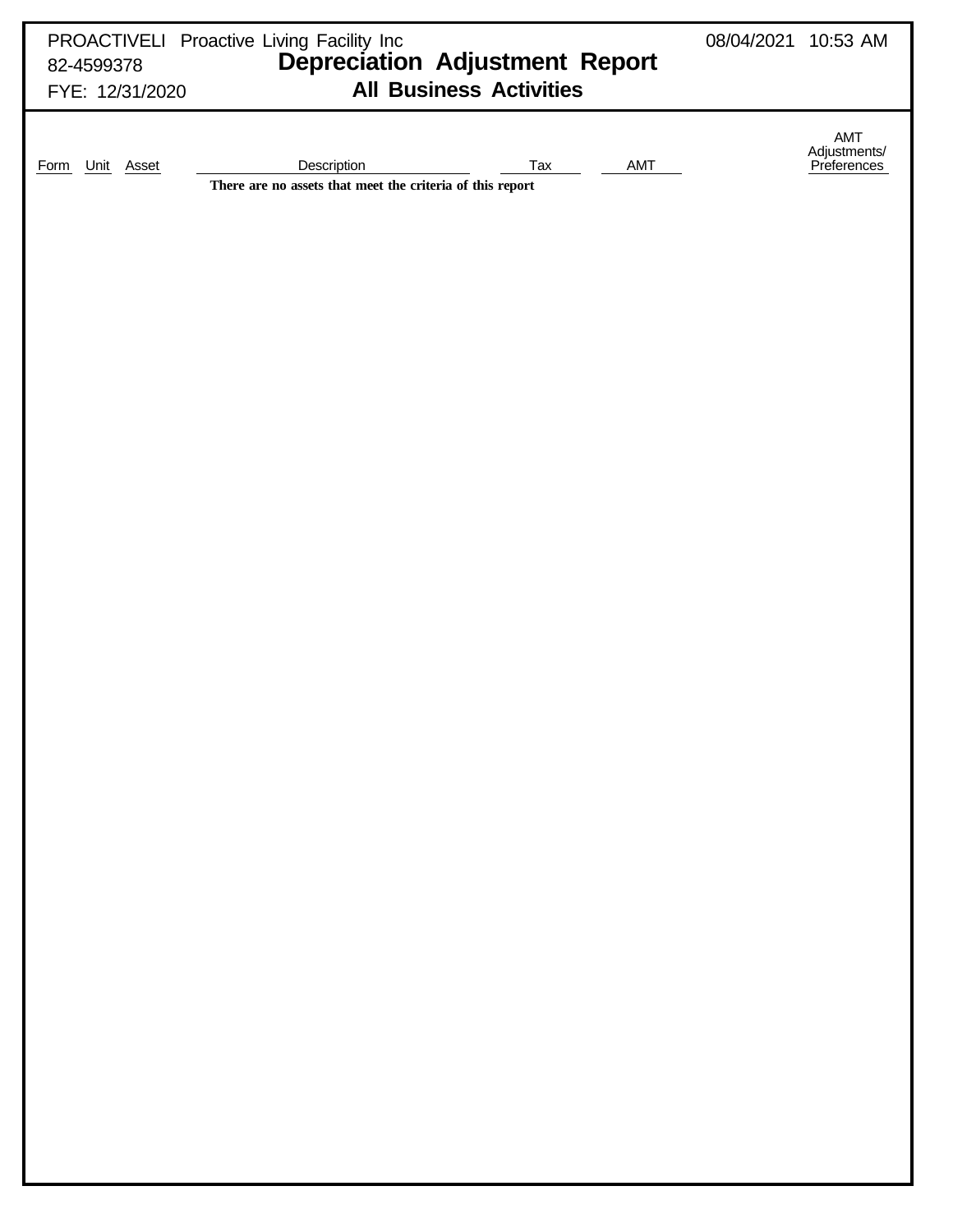| FYE: 12/31/2020           | PROACTIVELI Proactive Living Facility Inc<br>82-4599378 Depreciation Adjustment Report<br><b>All Business Activities</b> | 08/04/2021 10:53 AM |                                           |
|---------------------------|--------------------------------------------------------------------------------------------------------------------------|---------------------|-------------------------------------------|
| Unit Asset<br><b>Form</b> | AMT<br>Description<br>Tax<br>There are no assets that meet the criteria of this report                                   |                     | AMT<br>Adjustments/<br><u>Preferences</u> |
|                           |                                                                                                                          |                     |                                           |
|                           |                                                                                                                          |                     |                                           |
|                           |                                                                                                                          |                     |                                           |
|                           |                                                                                                                          |                     |                                           |
|                           |                                                                                                                          |                     |                                           |
|                           |                                                                                                                          |                     |                                           |
|                           |                                                                                                                          |                     |                                           |
|                           |                                                                                                                          |                     |                                           |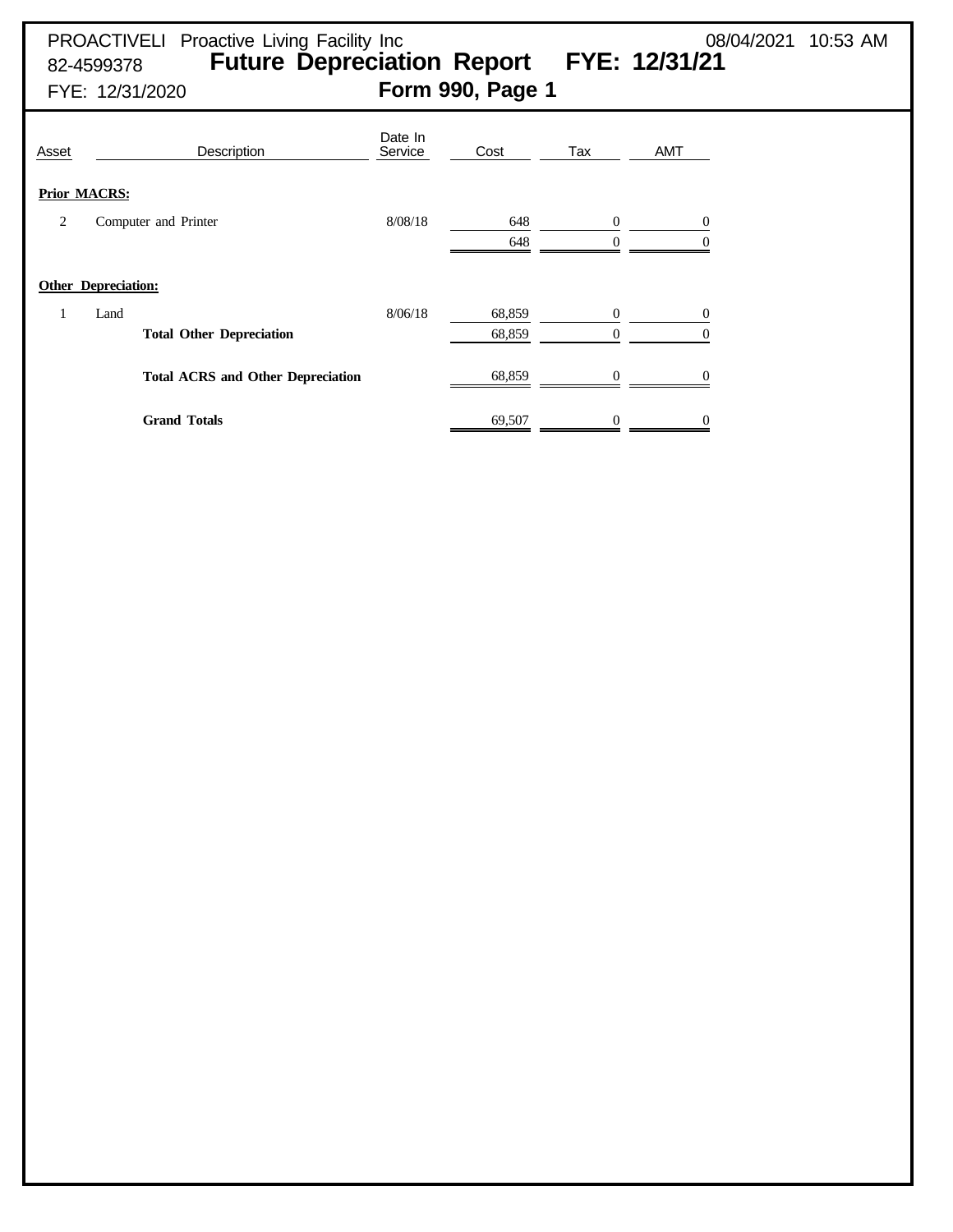|            | <b>PROACTIVELI</b> Proactive Living Facility Inc | 08/04/2021 10:53 AM |  |
|------------|--------------------------------------------------|---------------------|--|
| 82-4599378 | <b>Future Depreciation Report FYE: 12/31/21</b>  |                     |  |

FYE: 12/31/2020 **Form 990, Page 1**

| Asset                      |      | Description                              | Date In<br>Service | Cost             | Tax                              | <b>AMT</b>     |
|----------------------------|------|------------------------------------------|--------------------|------------------|----------------------------------|----------------|
| <b>Prior MACRS:</b>        |      |                                          |                    |                  |                                  |                |
| 2                          |      | Computer and Printer                     | 8/08/18            | 648<br>648       | $\mathbf{0}$                     | $\theta$       |
| <b>Other Depreciation:</b> |      |                                          |                    |                  |                                  |                |
|                            | Land | <b>Total Other Depreciation</b>          | 8/06/18            | 68,859<br>68,859 | $\overline{0}$<br>$\overline{0}$ | 0              |
|                            |      | <b>Total ACRS and Other Depreciation</b> |                    | 68,859           |                                  |                |
|                            |      | <b>Grand Totals</b>                      |                    | 69,507           | $\boldsymbol{0}$                 | $\overline{0}$ |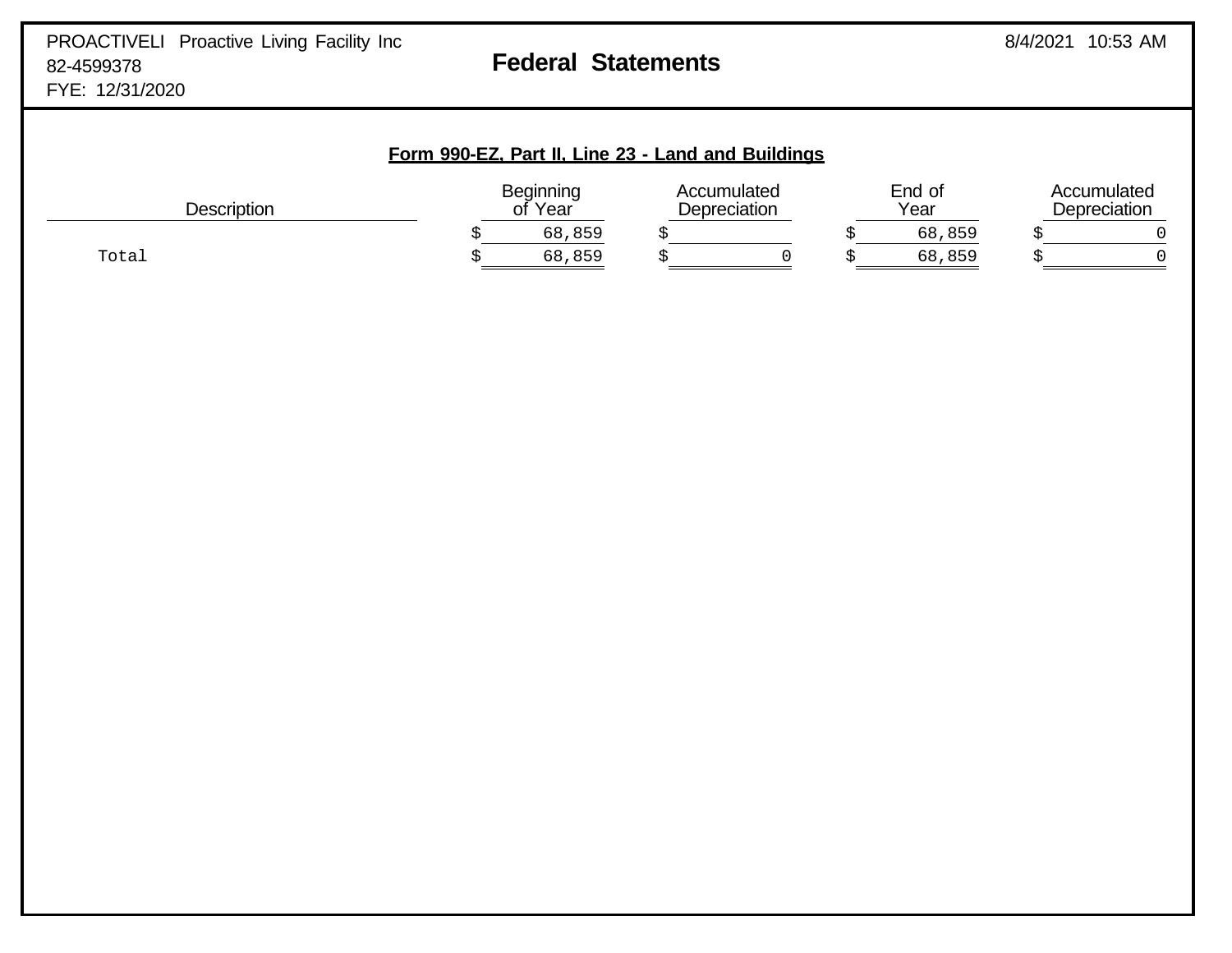| Form 990-EZ, Part II, Line 23 - Land and Buildings |                             |        |                             |  |                |        |                             |  |
|----------------------------------------------------|-----------------------------|--------|-----------------------------|--|----------------|--------|-----------------------------|--|
| <b>Description</b>                                 | <b>Beginning</b><br>of Year |        | Accumulated<br>Depreciation |  | End of<br>Year |        | Accumulated<br>Depreciation |  |
|                                                    |                             | 68,859 |                             |  |                | 68,859 |                             |  |
| Total                                              |                             | 68,859 |                             |  |                | 68,859 |                             |  |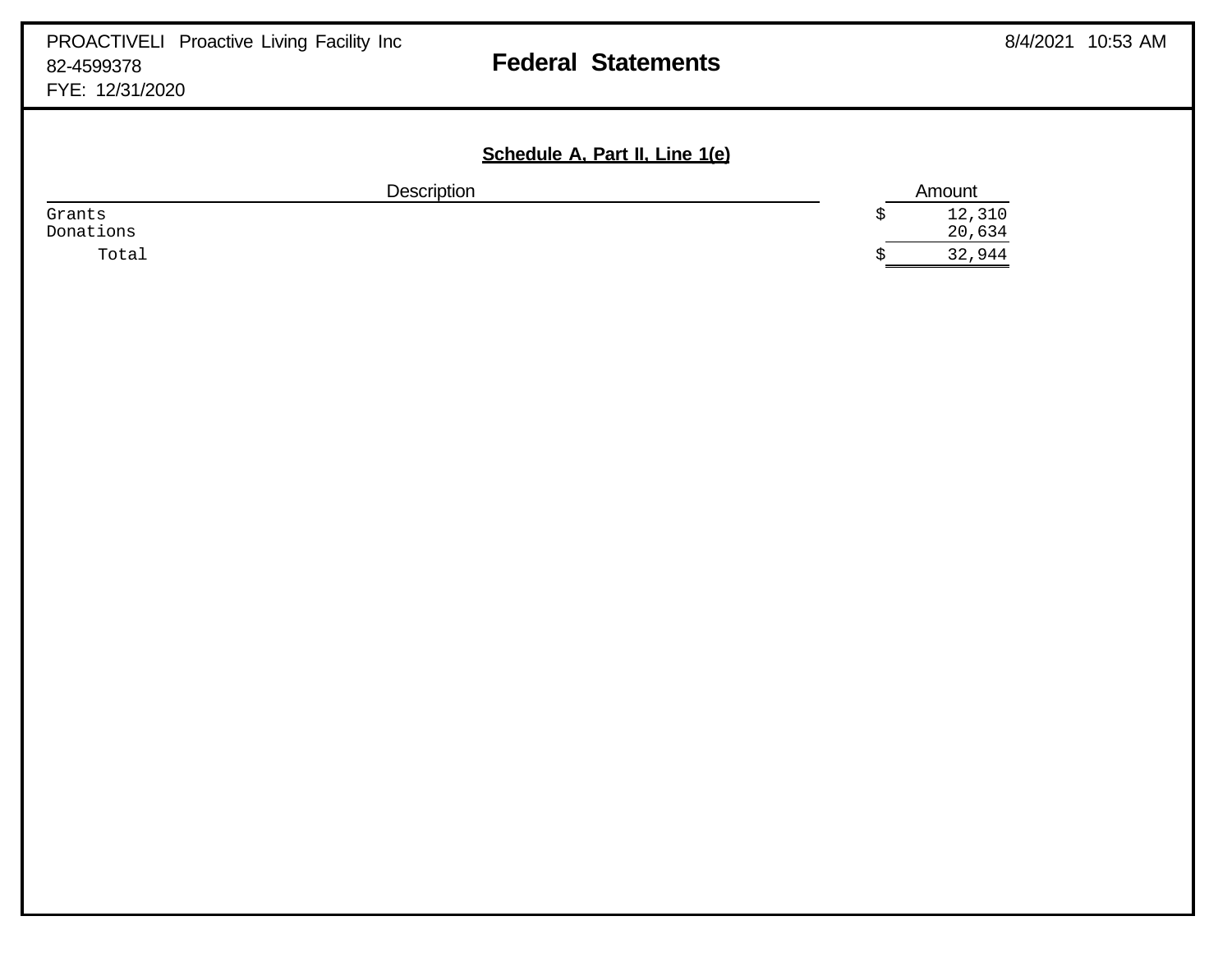## **Schedule A, Part II, Line 1(e)**

|           | <b>Description</b> | Amount |
|-----------|--------------------|--------|
| Grants    |                    | 12,310 |
| Donations |                    | 20,634 |
| Total     |                    | 32,944 |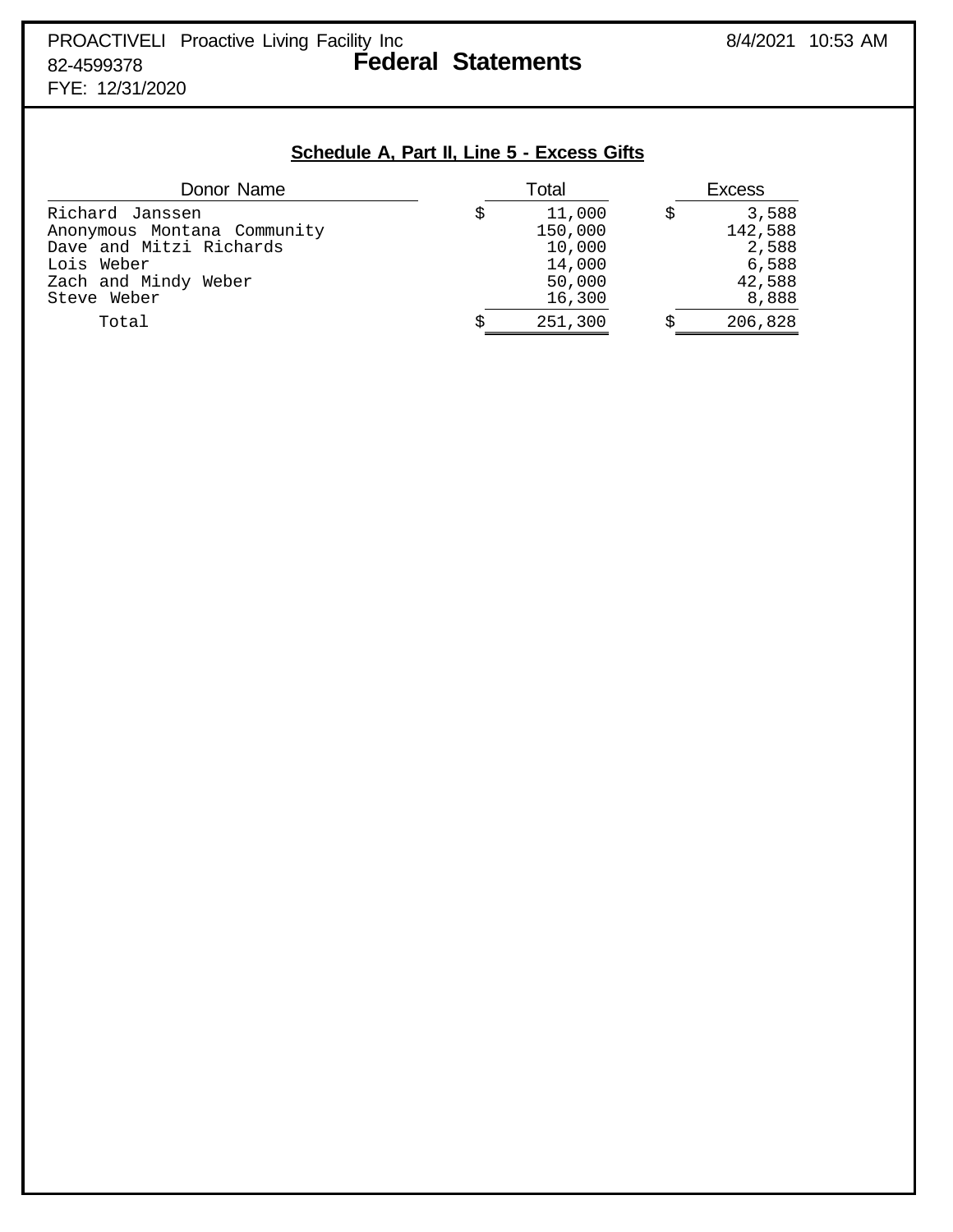**Schedule A, Part II, Line 5 - Excess Gifts**

| Donor Name                                                                | Total |                             | <b>Excess</b> |                           |  |
|---------------------------------------------------------------------------|-------|-----------------------------|---------------|---------------------------|--|
| Richard Janssen<br>Anonymous Montana Community<br>Dave and Mitzi Richards |       | 11,000<br>150,000<br>10,000 | S             | 3,588<br>142,588<br>2,588 |  |
| Lois Weber<br>Zach and Mindy Weber<br>Steve Weber                         |       | 14,000<br>50,000<br>16,300  |               | 6,588<br>42,588<br>8,888  |  |
| Total                                                                     |       | 251,300                     |               | 206,828                   |  |